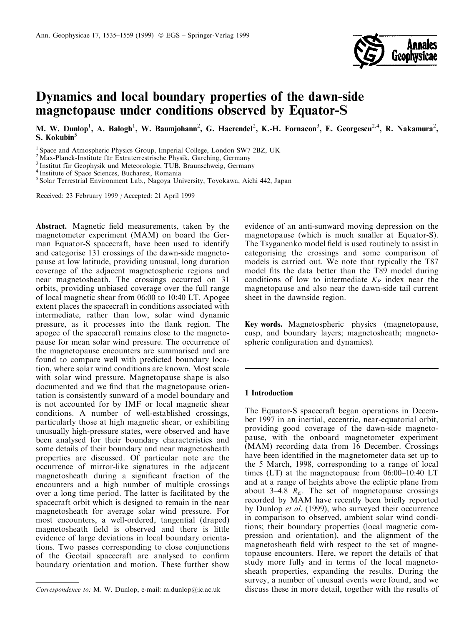

# Dynamics and local boundary properties of the dawn-side magnetopause under conditions observed by Equator-S

M. W. Dunlop<sup>1</sup>, A. Balogh<sup>1</sup>, W. Baumjohann<sup>2</sup>, G. Haerendel<sup>2</sup>, K.-H. Fornacon<sup>3</sup>, E. Georgescu<sup>2,4</sup>, R. Nakamura<sup>2</sup>, S. Kokubin<sup>5</sup>

<sup>1</sup> Space and Atmospheric Physics Group, Imperial College, London SW7 2BZ, UK <sup>2</sup> Max-Planck-Institute für Extraterrestrische Physik, Garching, Germany

<sup>3</sup> Institut für Geophysik und Meteorologie, TUB, Braunschweig, Germany  $4$  Institute of Space Sciences, Bucharest, Romania

<sup>5</sup> Solar Terrestrial Environment Lab., Nagoya University, Toyokawa, Aichi 442, Japan

Received: 23 February 1999 / Accepted: 21 April 1999

Abstract. Magnetic field measurements, taken by the magnetometer experiment (MAM) on board the German Equator-S spacecraft, have been used to identify and categorise 131 crossings of the dawn-side magnetopause at low latitude, providing unusual, long duration coverage of the adjacent magnetospheric regions and near magnetosheath. The crossings occurred on 31 orbits, providing unbiased coverage over the full range of local magnetic shear from 06:00 to 10:40 LT. Apogee extent places the spacecraft in conditions associated with intermediate, rather than low, solar wind dynamic pressure, as it processes into the flank region. The apogee of the spacecraft remains close to the magnetopause for mean solar wind pressure. The occurrence of the magnetopause encounters are summarised and are found to compare well with predicted boundary location, where solar wind conditions are known. Most scale with solar wind pressure. Magnetopause shape is also documented and we find that the magnetopause orientation is consistently sunward of a model boundary and is not accounted for by IMF or local magnetic shear conditions. A number of well-established crossings, particularly those at high magnetic shear, or exhibiting unusually high-pressure states, were observed and have been analysed for their boundary characteristics and some details of their boundary and near magnetosheath properties are discussed. Of particular note are the occurrence of mirror-like signatures in the adjacent magnetosheath during a significant fraction of the encounters and a high number of multiple crossings over a long time period. The latter is facilitated by the spacecraft orbit which is designed to remain in the near magnetosheath for average solar wind pressure. For most encounters, a well-ordered, tangential (draped) magnetosheath field is observed and there is little evidence of large deviations in local boundary orientations. Two passes corresponding to close conjunctions of the Geotail spacecraft are analysed to confirm boundary orientation and motion. These further show

evidence of an anti-sunward moving depression on the magnetopause (which is much smaller at Equator-S). The Tsyganenko model field is used routinely to assist in categorising the crossings and some comparison of models is carried out. We note that typically the T87 model fits the data better than the T89 model during conditions of low to intermediate  $K_P$  index near the magnetopause and also near the dawn-side tail current sheet in the dawnside region.

Key words. Magnetospheric physics (magnetopause, cusp, and boundary layers; magnetosheath; magnetospheric configuration and dynamics).

#### 1 Introduction

The Equator-S spacecraft began operations in December 1997 in an inertial, eccentric, near-equatorial orbit, providing good coverage of the dawn-side magnetopause, with the onboard magnetometer experiment (MAM) recording data from 16 December. Crossings have been identified in the magnetometer data set up to the 5 March, 1998, corresponding to a range of local times (LT) at the magnetopause from  $06:00-10:40$  LT and at a range of heights above the ecliptic plane from about 3–4.8  $R<sub>E</sub>$ . The set of magnetopause crossings recorded by MAM have recently been briefly reported by Dunlop et al. (1999), who surveyed their occurrence in comparison to observed, ambient solar wind conditions; their boundary properties (local magnetic compression and orientation), and the alignment of the magnetosheath field with respect to the set of magnetopause encounters. Here, we report the details of that study more fully and in terms of the local magnetosheath properties, expanding the results. During the survey, a number of unusual events were found, and we Correspondence to: M. W. Dunlop, e-mail: m.dunlop@ic.ac.uk discuss these in more detail, together with the results of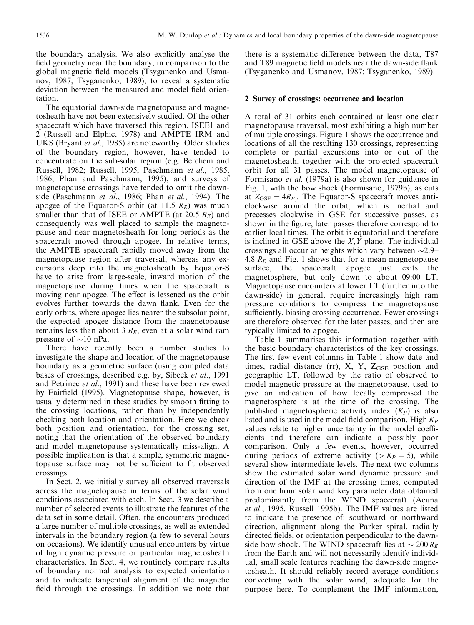the boundary analysis. We also explicitly analyse the field geometry near the boundary, in comparison to the global magnetic field models (Tsyganenko and Usmanov, 1987; Tsyganenko, 1989), to reveal a systematic deviation between the measured and model field orientation.

The equatorial dawn-side magnetopause and magnetosheath have not been extensively studied. Of the other spacecraft which have traversed this region, ISEE1 and 2 (Russell and Elphic, 1978) and AMPTE IRM and UKS (Bryant et al., 1985) are noteworthy. Older studies of the boundary region, however, have tended to concentrate on the sub-solar region (e.g. Berchem and Russell, 1982; Russell, 1995; Paschmann et al., 1985, 1986; Phan and Paschmann, 1995), and surveys of magnetopause crossings have tended to omit the dawnside (Paschmann et al., 1986; Phan et al., 1994). The apogee of the Equator-S orbit (at 11.5  $R_E$ ) was much smaller than that of ISEE or AMPTE (at 20.5  $R_E$ ) and consequently was well placed to sample the magnetopause and near magnetosheath for long periods as the spacecraft moved through apogee. In relative terms, the AMPTE spacecraft rapidly moved away from the magnetopause region after traversal, whereas any excursions deep into the magnetosheath by Equator-S have to arise from large-scale, inward motion of the magnetopause during times when the spacecraft is moving near apogee. The effect is lessened as the orbit evolves further towards the dawn flank. Even for the early orbits, where apogee lies nearer the subsolar point, the expected apogee distance from the magnetopause remains less than about 3  $R<sub>E</sub>$ , even at a solar wind ram pressure of  $\sim$ 10 nPa.

There have recently been a number studies to investigate the shape and location of the magnetopause boundary as a geometric surface (using compiled data bases of crossings, described e.g. by, Sibeck et al., 1991 and Petrinec et al., 1991) and these have been reviewed by Fairfield (1995). Magnetopause shape, however, is usually determined in these studies by smooth fitting to the crossing locations, rather than by independently checking both location and orientation. Here we check both position and orientation, for the crossing set, noting that the orientation of the observed boundary and model magnetopause systematically miss-align. A possible implication is that a simple, symmetric magnetopause surface may not be sufficient to fit observed crossings.

In Sect. 2, we initially survey all observed traversals across the magnetopause in terms of the solar wind conditions associated with each. In Sect. 3 we describe a number of selected events to illustrate the features of the data set in some detail. Often, the encounters produced a large number of multiple crossings, as well as extended intervals in the boundary region (a few to several hours on occasions). We identify unusual encounters by virtue of high dynamic pressure or particular magnetosheath characteristics. In Sect. 4, we routinely compare results of boundary normal analysis to expected orientation and to indicate tangential alignment of the magnetic field through the crossings. In addition we note that

there is a systematic difference between the data, T87 and T89 magnetic field models near the dawn-side flank (Tsyganenko and Usmanov, 1987; Tsyganenko, 1989).

## 2 Survey of crossings: occurrence and location

A total of 31 orbits each contained at least one clear magnetopause traversal, most exhibiting a high number of multiple crossings. Figure 1 shows the occurrence and locations of all the resulting 130 crossings, representing complete or partial excursions into or out of the magnetosheath, together with the projected spacecraft orbit for all 31 passes. The model magnetopause of Formisano et al. (1979a) is also shown for guidance in Fig. 1, with the bow shock (Formisano, 1979b), as cuts at  $Z_{\text{GSE}} = 4R_E$ . The Equator-S spacecraft moves anticlockwise around the orbit, which is inertial and precesses clockwise in GSE for successive passes, as shown in the figure; later passes therefore correspond to earlier local times. The orbit is equatorial and therefore is inclined in GSE above the  $X, Y$  plane. The individual crossings all occur at heights which vary between  $\sim$ 2.9 $-$ 4.8  $R_E$  and Fig. 1 shows that for a mean magnetopause surface, the spacecraft apogee just exits the magnetosphere, but only down to about 09:00 LT. Magnetopause encounters at lower LT (further into the dawn-side) in general, require increasingly high ram pressure conditions to compress the magnetopause sufficiently, biasing crossing occurrence. Fewer crossings are therefore observed for the later passes, and then are typically limited to apogee.

Table 1 summarises this information together with the basic boundary characteristics of the key crossings. The first few event columns in Table 1 show date and times, radial distance (rr),  $X$ ,  $Y$ ,  $Z_{GSE}$  position and geographic LT, followed by the ratio of observed to model magnetic pressure at the magnetopause, used to give an indication of how locally compressed the magnetosphere is at the time of the crossing. The published magnetospheric activity index  $(K_P)$  is also listed and is used in the model field comparison. High  $K_P$ values relate to higher uncertainty in the model coefficients and therefore can indicate a possibly poor comparison. Only a few events, however, occurred during periods of extreme activity ( $>K_P = 5$ ), while several show intermediate levels. The next two columns show the estimated solar wind dynamic pressure and direction of the IMF at the crossing times, computed from one hour solar wind key parameter data obtained predominantly from the WIND spacecraft (Acuna et al., 1995, Russell 1995b). The IMF values are listed to indicate the presence of: southward or northward direction, alignment along the Parker spiral, radially directed fields, or orientation perpendicular to the dawnside bow shock. The WIND spacecraft lies at  $\sim 200 R_E$ from the Earth and will not necessarily identify individual, small scale features reaching the dawn-side magnetosheath. It should reliably record average conditions convecting with the solar wind, adequate for the purpose here. To complement the IMF information,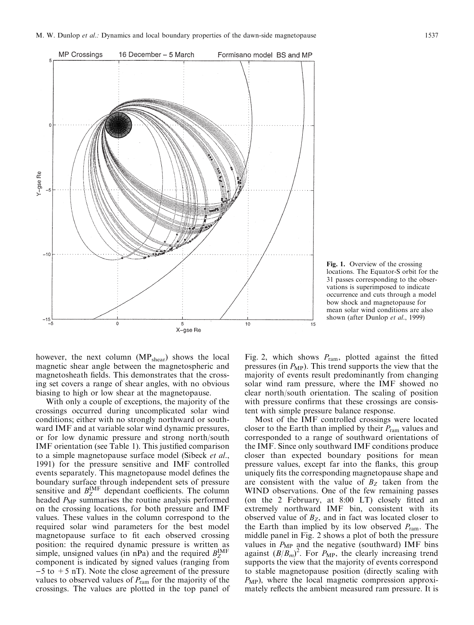

Fig. 1. Overview of the crossing locations. The Equator-S orbit for the 31 passes corresponding to the observations is superimposed to indicate occurrence and cuts through a model bow shock and magnetopause for mean solar wind conditions are also shown (after Dunlop et al., 1999)

however, the next column (MP<sub>shear</sub>) shows the local magnetic shear angle between the magnetospheric and magnetosheath fields. This demonstrates that the crossing set covers a range of shear angles, with no obvious biasing to high or low shear at the magnetopause.

With only a couple of exceptions, the majority of the crossings occurred during uncomplicated solar wind conditions; either with no strongly northward or southward IMF and at variable solar wind dynamic pressures, or for low dynamic pressure and strong north/south IMF orientation (see Table 1). This justified comparison to a simple magnetopause surface model (Sibeck et al., 1991) for the pressure sensitive and IMF controlled events separately. This magnetopause model defines the boundary surface through independent sets of pressure sensitive and  $B_{Z}^{\text{IMF}}$  dependant coefficients. The column headed  $P_{MP}$  summarises the routine analysis performed on the crossing locations, for both pressure and IMF values. These values in the column correspond to the required solar wind parameters for the best model magnetopause surface to fit each observed crossing position: the required dynamic pressure is written as simple, unsigned values (in nPa) and the required  $B_{Z}^{IMF}$ component is indicated by signed values (ranging from  $-5$  to  $+5$  nT). Note the close agreement of the pressure values to observed values of  $P_{\text{ram}}$  for the majority of the crossings. The values are plotted in the top panel of

Fig. 2, which shows  $P_{\text{ram}}$ , plotted against the fitted pressures (in  $P_{MP}$ ). This trend supports the view that the majority of events result predominantly from changing solar wind ram pressure, where the IMF showed no clear north/south orientation. The scaling of position with pressure confirms that these crossings are consistent with simple pressure balance response.

Most of the IMF controlled crossings were located closer to the Earth than implied by their  $P_{\text{ram}}$  values and corresponded to a range of southward orientations of the IMF. Since only southward IMF conditions produce closer than expected boundary positions for mean pressure values, except far into the flanks, this group uniquely fits the corresponding magnetopause shape and are consistent with the value of  $B<sub>Z</sub>$  taken from the WIND observations. One of the few remaining passes (on the 2 February, at 8:00 LT) closely fitted an extremely northward IMF bin, consistent with its observed value of  $B_Z$ , and in fact was located closer to the Earth than implied by its low observed  $P_{\text{ram}}$ . The middle panel in Fig. 2 shows a plot of both the pressure values in  $P_{MP}$  and the negative (southward) IMF bins against  $(B/B_m)^2$ . For  $P_{\text{MP}}$ , the clearly increasing trend supports the view that the majority of events correspond to stable magnetopause position (directly scaling with  $P_{MP}$ ), where the local magnetic compression approximately reflects the ambient measured ram pressure. It is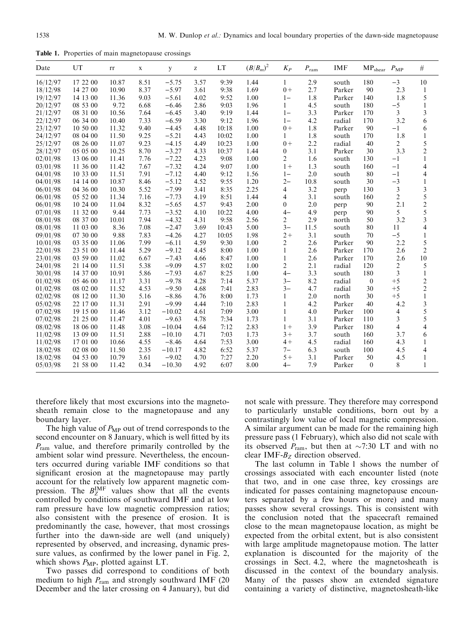Table 1. Properties of main magnetopause crossings

| Date     | UT       | rr    | X    | y        | Z    | LT    | $(B/B_m)^2$ | $K_P$        | $P_{\rm ram}$ | <b>IMF</b> | MP <sub>shear</sub> P <sub>MP</sub> |                | $\#$                    |
|----------|----------|-------|------|----------|------|-------|-------------|--------------|---------------|------------|-------------------------------------|----------------|-------------------------|
| 16/12/97 | 17 22 00 | 10.87 | 8.51 | $-5.75$  | 3.57 | 9:39  | 1.44        | $\mathbf{1}$ | 2.9           | south      | 180                                 | $-3$           | 10                      |
| 18/12/98 | 14 27 00 | 10.90 | 8.37 | $-5.97$  | 3.61 | 9:38  | 1.69        | $0+$         | 2.7           | Parker     | 90                                  | 2.3            | 1                       |
| 19/12/97 | 14 13 00 | 11.36 | 9.03 | $-5.61$  | 4.02 | 9:52  | 1.00        | $1 -$        | 1.8           | Parker     | 140                                 | 1.8            | 5                       |
| 20/12/97 | 08 53 00 | 9.72  | 6.68 | $-6.46$  | 2.86 | 9:03  | 1.96        | $\mathbf{1}$ | 4.5           | south      | 180                                 | $-5$           | 1                       |
| 21/12/97 | 08 31 00 | 10.56 | 7.64 | $-6.45$  | 3.40 | 9:19  | 1.44        | $1 -$        | 3.3           | Parker     | 170                                 | 3              | 3                       |
| 22/12/97 | 06 34 00 | 10.40 | 7.33 | $-6.59$  | 3.30 | 9:12  | 1.96        | $1 -$        | 4.2           | radial     | 170                                 | 3.2            | 6                       |
| 23/12/97 | 10 50 00 | 11.32 | 9.40 | $-4.45$  | 4.48 | 10:18 | 1.00        | $0+$         | 1.8           | Parker     | 90                                  | $-1$           | 6                       |
| 24/12/97 | 08 04 00 | 11.50 | 9.25 | $-5.21$  | 4.43 | 10:02 | 1.00        | 1            | 1.8           | south      | 170                                 | 1.8            | 1                       |
| 25/12/97 | 08 26 00 | 11.07 | 9.23 | $-4.15$  | 4.49 | 10:23 | 1.00        | $0+$         | 2.2           | radial     | 40                                  | 2              | 5                       |
| 28/12/97 | 05 05 00 | 10.25 | 8.70 | $-3.27$  | 4.33 | 10:37 | 1.44        | 0            | 3.1           | Parker     | 30                                  | 3.3            | $\overline{2}$          |
| 02/01/98 | 13 06 00 | 11.41 | 7.76 | $-7.22$  | 4.23 | 9:08  | 1.00        | 2            | 1.6           | south      | 130                                 | $-1$           | 1                       |
| 03/01/98 | 11 36 00 | 11.42 | 7.67 | $-7.32$  | 4.24 | 9:07  | 1.00        | $1+$         | 1.3           | south      | 160                                 | $-1$           | 4                       |
| 04/01/98 | 10 33 00 | 11.51 | 7.91 | $-7.12$  | 4.40 | 9:12  | 1.56        | $1 -$        | 2.0           | south      | 80                                  | $-1$           | 4                       |
| 04/01/98 | 14 14 00 | 10.87 | 8.46 | $-5.12$  | 4.52 | 9:55  | 1.20        | $2 -$        | 10.8          | south      | 30                                  | $-3$           |                         |
| 06/01/98 | 04 36 00 | 10.30 | 5.52 | $-7.99$  | 3.41 | 8:35  | 2.25        | 4            | 3.2           | perp       | 130                                 | 3              | 3                       |
| 06/01/98 | 05 52 00 | 11.34 | 7.16 | $-7.73$  | 4.19 | 8:51  | 1.44        | 4            | 3.1           | south      | 160                                 | $\overline{c}$ | 5                       |
| 06/01/98 | 10 24 00 | 11.04 | 8.32 | $-5.65$  | 4.57 | 9:43  | 2.00        | $\mathbf{0}$ | 2.0           | perp       | 90                                  | 2.1            | $\overline{\mathbf{c}}$ |
| 07/01/98 | 11 32 00 | 9.44  | 7.73 | $-3.52$  | 4.10 | 10:22 | 4.00        | $4-$         | 4.9           | perp       | 90                                  | 5              | 5                       |
| 08/01/98 | 08 37 00 | 10.01 | 7.94 | $-4.32$  | 4.31 | 9:58  | 2.56        | 2            | 2.9           | north      | 50                                  | 3.2            | 3                       |
| 08/01/98 | 11 03 00 | 8.36  | 7.08 | $-2.47$  | 3.69 | 10:43 | 5.00        | $3 -$        | 11.5          | south      | 80                                  | 11             | 4                       |
| 09/01/98 | 07 30 00 | 9.88  | 7.83 | $-4.26$  | 4.27 | 10:05 | 1.98        | $2+$         | 3.1           | south      | 70                                  | $-5$           | 1                       |
| 10/01/98 | 03 35 00 | 11.06 | 7.99 | $-6.11$  | 4.59 | 9:30  | 1.00        | 2            | 2.6           | Parker     | 90                                  | 2.2            | 5                       |
| 22/01/98 | 23 51 00 | 11.44 | 5.29 | $-9.12$  | 4.45 | 8:00  | 1.00        | 1            | 2.6           | Parker     | 170                                 | 2.6            | $\mathfrak{2}$          |
| 23/01/98 | 03 59 00 | 11.02 | 6.67 | $-7.43$  | 4.66 | 8:47  | 1.00        | $\mathbf{1}$ | 2.6           | Parker     | 170                                 | 2.6            | 10                      |
| 24/01/98 | 21 14 00 | 11.51 | 5.38 | $-9.09$  | 4.57 | 8:02  | 1.00        | 2            | 2.1           | radial     | 120                                 | 2              | 5                       |
| 30/01/98 | 14 37 00 | 10.91 | 5.86 | $-7.93$  | 4.67 | 8:25  | 1.00        | $4-$         | 3.3           | south      | 180                                 | 3              | $\mathbf{1}$            |
| 01/02/98 | 05 46 00 | 11.17 | 3.31 | $-9.78$  | 4.28 | 7:14  | 5.37        | $3 -$        | 8.2           | radial     | $\boldsymbol{0}$                    | $+5$           | $\overline{c}$          |
| 01/02/98 | 08 02 00 | 11.52 | 4.53 | $-9.50$  | 4.68 | 7:41  | 2.83        | $3-$         | 4.7           | radial     | 30                                  | $+5$           | $\overline{c}$          |
| 02/02/98 | 08 12 00 | 11.30 | 5.16 | $-8.86$  | 4.76 | 8:00  | 1.73        | 1            | 2.0           | north      | 30                                  | $+5$           | 1                       |
| 05/02/98 | 22 17 00 | 11.31 | 2.91 | $-9.99$  | 4.44 | 7:10  | 2.83        | 1            | 4.2           | Parker     | 40                                  | 4.2            | 3                       |
| 07/02/98 | 19 15 00 | 11.46 | 3.12 | $-10.02$ | 4.61 | 7:09  | 3.00        | 1            | 4.0           | Parker     | 100                                 | 4              | 5                       |
| 07/02/98 | 21 25 00 | 11.47 | 4.01 | $-9.63$  | 4.78 | 7:34  | 1.73        | 1            | 3.1           | Parker     | 110                                 | 3              | 5                       |
| 08/02/98 | 18 06 00 | 11.48 | 3.08 | $-10.04$ | 4.64 | 7:12  | 2.83        | $1+$         | 3.9           | Parker     | 180                                 | 4              | 4                       |
| 11/02/98 | 13 09 00 | 11.51 | 2.88 | $-10.10$ | 4.71 | 7:03  | 1.73        | $3+$         | 3.7           | south      | 160                                 | 3.7            | 6                       |
| 11/02/98 | 17 01 00 | 10.66 | 4.55 | $-8.46$  | 4.64 | 7:53  | 3.00        | $4+$         | 4.5           | radial     | 160                                 | 4.3            |                         |
| 18/02/98 | 02 08 00 | 11.50 | 2.35 | $-10.17$ | 4.82 | 6:52  | 5.37        | $7-$         | 6.3           | south      | 100                                 | 4.5            | 4                       |
| 18/02/98 | 04 53 00 | 10.79 | 3.61 | $-9.02$  | 4.70 | 7:27  | 2.20        | $5+$         | 3.1           | Parker     | 50                                  | 4.5            | 1                       |
| 05/03/98 | 21 58 00 | 11.42 | 0.34 | $-10.30$ | 4.92 | 6:07  | 8.00        | 4–           | 7.9           | Parker     | $\overline{0}$                      | 8              | $\mathbf{1}$            |

therefore likely that most excursions into the magnetosheath remain close to the magnetopause and any boundary layer.

The high value of  $P_{MP}$  out of trend corresponds to the second encounter on 8 January, which is well fitted by its  $P_{\text{ram}}$  value, and therefore primarily controlled by the ambient solar wind pressure. Nevertheless, the encounters occurred during variable IMF conditions so that significant erosion at the magnetopause may partly account for the relatively low apparent magnetic compression. The  $B_Z^{\text{IMF}}$  values show that all the events controlled by conditions of southward IMF and at low ram pressure have low magnetic compression ratios; also consistent with the presence of erosion. It is predominantly the case, however, that most crossings further into the dawn-side are well (and uniquely) represented by observed, and increasing, dynamic pressure values, as confirmed by the lower panel in Fig. 2, which shows  $P_{\text{MP}}$ , plotted against LT.

Two passes did correspond to conditions of both medium to high  $P_{\text{ram}}$  and strongly southward IMF (20) December and the later crossing on 4 January), but did

not scale with pressure. They therefore may correspond to particularly unstable conditions, born out by a contrastingly low value of local magnetic compression. A similar argument can be made for the remaining high pressure pass (1 February), which also did not scale with its observed  $P_{\text{ram}}$ , but then at  $\sim$ 7:30 LT and with no clear IMF- $B_Z$  direction observed.

The last column in Table 1 shows the number of crossings associated with each encounter listed (note that two, and in one case three, key crossings are indicated for passes containing magnetopause encounters separated by a few hours or more) and many passes show several crossings. This is consistent with the conclusion noted that the spacecraft remained close to the mean magnetopause location, as might be expected from the orbital extent, but is also consistent with large amplitude magnetopause motion. The latter explanation is discounted for the majority of the crossings in Sect. 4.2, where the magnetosheath is discussed in the context of the boundary analysis. Many of the passes show an extended signature containing a variety of distinctive, magnetosheath-like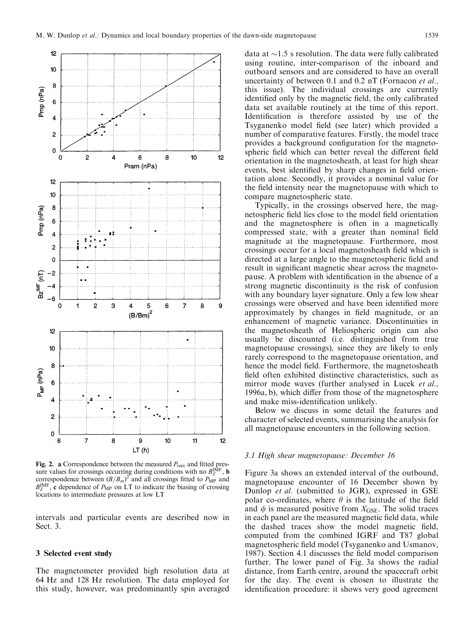

**Fig. 2. a** Correspondence between the measured  $P_{\text{ram}}$  and fitted pressure values for crossings occurring during conditions with no  $B_{Z}^{\text{IMF}}$ , **b** correspondence between  $(B/B_m)^2$  and all crossings fitted to  $P_{MP}$  and  $B_Z^{\text{IMF}}$ , c dependence of  $P_{\text{MP}}$  on LT to indicate the biasing of crossing locations to intermediate pressures at low LT

intervals and particular events are described now in Sect. 3.

#### 3 Selected event study

The magnetometer provided high resolution data at 64 Hz and 128 Hz resolution. The data employed for this study, however, was predominantly spin averaged

data at  $\sim$ 1.5 s resolution. The data were fully calibrated using routine, inter-comparison of the inboard and outboard sensors and are considered to have an overall uncertainty of between 0.1 and 0.2 nT (Fornacon *et al.*, this issue). The individual crossings are currently identified only by the magnetic field, the only calibrated data set available routinely at the time of this report. Identification is therefore assisted by use of the Tsyganenko model field (see later) which provided a number of comparative features. Firstly, the model trace provides a background configuration for the magnetospheric field which can better reveal the different field orientation in the magnetosheath, at least for high shear events, best identified by sharp changes in field orientation alone. Secondly, it provides a nominal value for the field intensity near the magnetopause with which to compare magnetospheric state.

Typically, in the crossings observed here, the magnetospheric field lies close to the model field orientation and the magnetosphere is often in a magnetically compressed state, with a greater than nominal field magnitude at the magnetopause. Furthermore, most crossings occur for a local magnetosheath field which is directed at a large angle to the magnetospheric field and result in significant magnetic shear across the magnetopause. A problem with identification in the absence of a strong magnetic discontinuity is the risk of confusion with any boundary layer signature. Only a few low shear crossings were observed and have been identified more approximately by changes in field magnitude, or an enhancement of magnetic variance. Discontinuities in the magnetosheath of Heliospheric origin can also usually be discounted (i.e. distinguished from true magnetopause crossings), since they are likely to only rarely correspond to the magnetopause orientation, and hence the model field. Furthermore, the magnetosheath field often exhibited distinctive characteristics, such as mirror mode waves (further analysed in Lucek et al.,  $1996a$ , b), which differ from those of the magnetosphere and make miss-identification unlikely.

Below we discuss in some detail the features and character of selected events, summarising the analysis for all magnetopause encounters in the following section.

## 3.1 High shear magnetopause: December 16

Figure 3a shows an extended interval of the outbound, magnetopause encounter of 16 December shown by Dunlop *et al.* (submitted to JGR), expressed in GSE polar co-ordinates, where  $\theta$  is the latitude of the field and  $\phi$  is measured positive from  $X_{\text{GSE}}$ . The solid traces in each panel are the measured magnetic field data, while the dashed traces show the model magnetic field, computed from the combined IGRF and T87 global magnetospheric field model (Tsyganenko and Usmanov, 1987). Section 4.1 discusses the field model comparison further. The lower panel of Fig. 3a shows the radial distance, from Earth centre, around the spacecraft orbit for the day. The event is chosen to illustrate the identification procedure: it shows very good agreement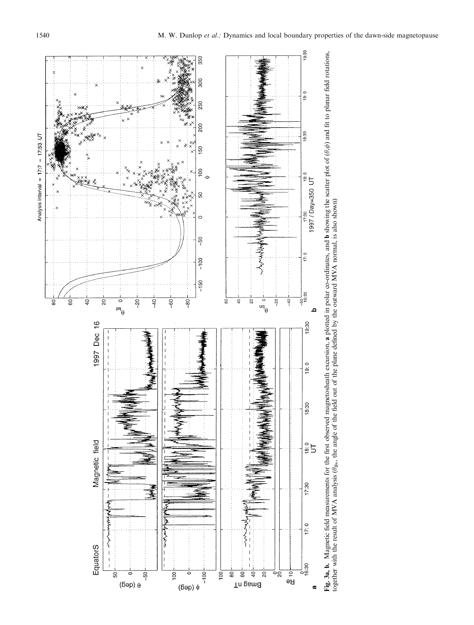Analysis interval =  $17:7 - 17:53$  UT



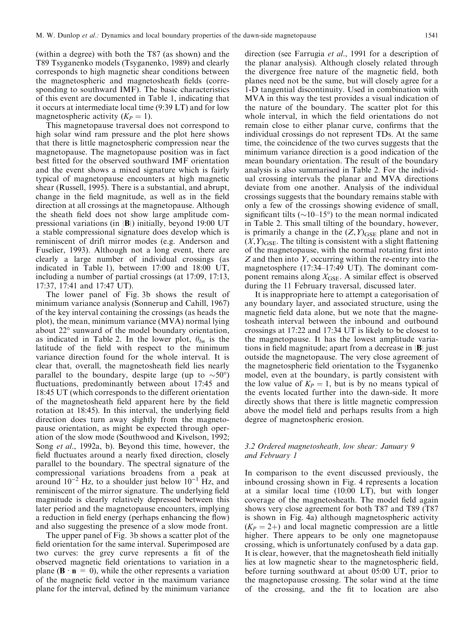(within a degree) with both the T87 (as shown) and the T89 Tsyganenko models (Tsyganenko, 1989) and clearly corresponds to high magnetic shear conditions between the magnetospheric and magnetosheath fields (corresponding to southward IMF). The basic characteristics of this event are documented in Table 1, indicating that it occurs at intermediate local time (9:39 LT) and for low magnetospheric activity  $(K_P = 1)$ .

This magnetopause traversal does not correspond to high solar wind ram pressure and the plot here shows that there is little magnetospheric compression near the magnetopause. The magnetopause position was in fact best fitted for the observed southward IMF orientation and the event shows a mixed signature which is fairly typical of magnetopause encounters at high magnetic shear (Russell, 1995). There is a substantial, and abrupt, change in the field magnitude, as well as in the field direction at all crossings at the magnetopause. Although the sheath field does not show large amplitude compressional variations (in |B|) initially, beyond 19:00 UT a stable compressional signature does develop which is reminiscent of drift mirror modes (e.g. Anderson and Fuselier, 1993). Although not a long event, there are clearly a large number of individual crossings (as indicated in Table 1), between 17:00 and 18:00 UT, including a number of partial crossings (at 17:09, 17:13, 17:37, 17:41 and 17:47 UT).

The lower panel of Fig. 3b shows the result of minimum variance analysis (Sonnerup and Cahill, 1967) of the key interval containing the crossings (as heads the plot), the mean, minimum variance (MVA) normal lying about 22° sunward of the model boundary orientation, as indicated in Table 2. In the lower plot,  $\theta_{bn}$  is the latitude of the field with respect to the minimum variance direction found for the whole interval. It is clear that, overall, the magnetosheath field lies nearly parallel to the boundary, despite large (up to  $\sim 50^{\circ}$ ) fluctuations, predominantly between about 17:45 and 18:45 UT (which corresponds to the different orientation of the magnetosheath field apparent here by the field rotation at 18:45). In this interval, the underlying field direction does turn away slightly from the magnetopause orientation, as might be expected through operation of the slow mode (Southwood and Kivelson, 1992; Song et al., 1992a, b). Beyond this time, however, the field fluctuates around a nearly fixed direction, closely parallel to the boundary. The spectral signature of the compressional variations broadens from a peak at around  $10^{-2}$  Hz, to a shoulder just below  $10^{-1}$  Hz, and reminiscent of the mirror signature. The underlying field magnitude is clearly relatively depressed between this later period and the magnetopause encounters, implying a reduction in field energy (perhaps enhancing the flow) and also suggesting the presence of a slow mode front.

The upper panel of Fig. 3b shows a scatter plot of the field orientation for the same interval. Superimposed are two curves: the grey curve represents a fit of the observed magnetic field orientations to variation in a plane ( $\mathbf{B} \cdot \mathbf{n} = 0$ ), while the other represents a variation of the magnetic field vector in the maximum variance plane for the interval, defined by the minimum variance

direction (see Farrugia et al., 1991 for a description of the planar analysis). Although closely related through the divergence free nature of the magnetic field, both planes need not be the same, but will closely agree for a 1-D tangential discontinuity. Used in combination with MVA in this way the test provides a visual indication of the nature of the boundary. The scatter plot for this whole interval, in which the field orientations do not remain close to either planar curve, confirms that the individual crossings do not represent TDs. At the same time, the coincidence of the two curves suggests that the minimum variance direction is a good indication of the mean boundary orientation. The result of the boundary analysis is also summarised in Table 2. For the individual crossing intervals the planar and MVA directions deviate from one another. Analysis of the individual crossings suggests that the boundary remains stable with only a few of the crossings showing evidence of small, significant tilts ( $\sim$ 10–15°) to the mean normal indicated in Table 2. This small tilting of the boundary, however, is primarily a change in the  $(Z, Y)_{\text{GSE}}$  plane and not in  $(X, Y)_{\text{GSE}}$ . The tilting is consistent with a slight flattening of the magnetopause, with the normal rotating first into Z and then into Y, occurring within the re-entry into the magnetosphere  $(17:34-17:49 \text{ UT})$ . The dominant component remains along  $X_{\text{GSE}}$ . A similar effect is observed during the 11 February traversal, discussed later.

It is inappropriate here to attempt a categorisation of any boundary layer, and associated structure, using the magnetic field data alone, but we note that the magnetosheath interval between the inbound and outbound crossings at 17:22 and 17:34 UT is likely to be closest to the magnetopause. It has the lowest amplitude variations in field magnitude; apart from a decrease in  $|B|$  just outside the magnetopause. The very close agreement of the magnetospheric field orientation to the Tsyganenko model, even at the boundary, is partly consistent with the low value of  $K_P = 1$ , but is by no means typical of the events located further into the dawn-side. It more directly shows that there is little magnetic compression above the model field and perhaps results from a high degree of magnetospheric erosion.

## 3.2 Ordered magnetosheath, low shear: January 9 and February 1

In comparison to the event discussed previously, the inbound crossing shown in Fig. 4 represents a location at a similar local time (10:00 LT), but with longer coverage of the magnetosheath. The model field again shows very close agreement for both T87 and T89 (T87 is shown in Fig. 4a) although magnetospheric activity  $(K_P = 2+)$  and local magnetic compression are a little higher. There appears to be only one magnetopause crossing, which is unfortunately confused by a data gap. It is clear, however, that the magnetosheath field initially lies at low magnetic shear to the magnetospheric field, before turning southward at about 05:00 UT, prior to the magnetopause crossing. The solar wind at the time of the crossing, and the fit to location are also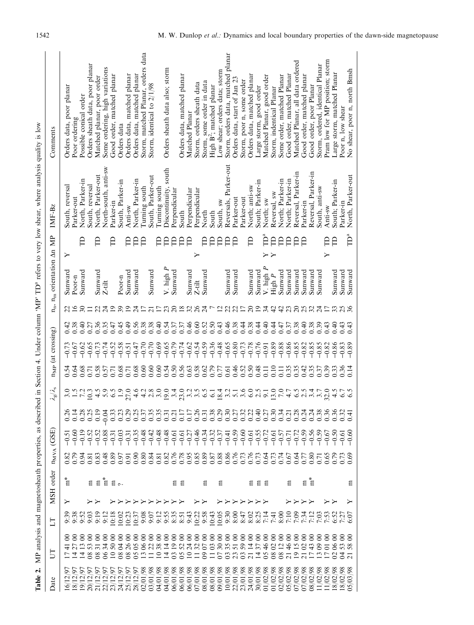| Date                                                                                                                                                                                                                                                                              | 5                                                                        | EI                                                | MSH order n <sub>MVA</sub> (GSE) |                                                       |                                   |                                        | $\lambda_{\rm g}/\lambda_{\rm s}$ |                | n <sub>MP</sub> (at crossing)               |                |                 | $n_{\rm n}$ , $n_{\rm m}$ orientation $\Delta n$ MP |         |                     | $IMF-Bz$                | Comments                              |
|-----------------------------------------------------------------------------------------------------------------------------------------------------------------------------------------------------------------------------------------------------------------------------------|--------------------------------------------------------------------------|---------------------------------------------------|----------------------------------|-------------------------------------------------------|-----------------------------------|----------------------------------------|-----------------------------------|----------------|---------------------------------------------|----------------|-----------------|-----------------------------------------------------|---------|---------------------|-------------------------|---------------------------------------|
| و                                                                                                                                                                                                                                                                                 |                                                                          |                                                   | ÷<br>ក                           |                                                       | $-0.51$                           |                                        |                                   |                | $-0.73$                                     | 0.42           |                 | $\operatorname{Sunward}$                            | ≻       |                     | South, reversal         | Orders data, poor planar              |
| 18/12/97                                                                                                                                                                                                                                                                          | 88888                                                                    |                                                   |                                  | 82338<br>000338                                       | $-0.9$<br>$-0.9$                  | $0.148$<br>$0.138$<br>$0.19$<br>$0.19$ |                                   | 0.64           | $-0.67$                                     | 0.38           | $\overline{16}$ | Poor-n                                              |         |                     | Parker-out              | Poor ordering                         |
| $\tilde{\mathcal{S}}$<br>19/12                                                                                                                                                                                                                                                    | 1188                                                                     |                                                   |                                  |                                                       |                                   |                                        | 7.2                               | 0.68           | $-0.62$                                     | 0.40           | $\overline{30}$ | Sunward                                             | Ê       |                     | North, Parker-in        | Possible conical order                |
| 20/12/97<br>21/12/97                                                                                                                                                                                                                                                              |                                                                          |                                                   |                                  |                                                       | $-0.52$                           |                                        | 10.3                              | 0.71           |                                             | 0.27           | $\Box$          |                                                     |         |                     | South, reversal         | Orders sheath data, poor planar       |
|                                                                                                                                                                                                                                                                                   |                                                                          | 9:19                                              |                                  |                                                       | $-0.52$                           |                                        | 4.5                               | 0.58           | $-0.73$                                     | 0.36           | 22              | Sunward                                             | Э       |                     | North, Parker-out       | Matched planar, poor order            |
|                                                                                                                                                                                                                                                                                   |                                                                          | 9:12                                              |                                  | 0.48                                                  | $-0.88$                           |                                        | 5.9                               | 0.57           | $-0.74$                                     | 0.35           | $\overline{24}$ | $Z$ -tilt                                           |         |                     | North-south, anti-sw    | Some ordering, high variations        |
|                                                                                                                                                                                                                                                                                   |                                                                          | 0:18                                              | E E E E                          |                                                       | $-0.31$                           |                                        | 6.5                               | 0.71           | $-0.52$<br>$-0.51$                          | $0.45$<br>0.45 | $\overline{1}$  |                                                     | A       |                     | Parker-in               | Good order, matched planar            |
|                                                                                                                                                                                                                                                                                   |                                                                          | 0.23                                              |                                  |                                                       |                                   |                                        | $\overline{1.9}$                  | 0.68           |                                             |                | 39              | $Poor-n$                                            |         |                     | South, Parker-in        | Orders data                           |
|                                                                                                                                                                                                                                                                                   |                                                                          |                                                   |                                  |                                                       | $-0.35$<br>$-0.35$                |                                        | 27.0                              | 0.71           |                                             |                | $\overline{19}$ | Sunward                                             | A       |                     | Anti-sw                 | Orders data, matched planar           |
|                                                                                                                                                                                                                                                                                   | 88888888888888888888888888<br>万日お引払のはあめの公我はりなみなののおおおみは打ねのにねじのお<br>828882 | 10:37                                             |                                  | 85588358663888886666556574<br>85558835866588888866665 |                                   |                                        | 4.6                               | 0.68           | $-0.47$                                     | 0.56           | $\overline{24}$ | Sunward                                             | Ê       |                     | North, Parker-in        | Orders data, matched planar           |
|                                                                                                                                                                                                                                                                                   |                                                                          | 0.68                                              |                                  |                                                       | $-0.48$                           |                                        | 4.2                               | 0.60           | $-0.70$                                     | 0.38           | 17              |                                                     | Ê       |                     | Turning south           | data<br>Storm, matched Planar, orders |
|                                                                                                                                                                                                                                                                                   |                                                                          |                                                   |                                  |                                                       |                                   |                                        | 2.8                               | 0.60           | $-0.70$                                     | 0.38           | $\overline{21}$ | $\mathop{\rm Sumward}\nolimits$                     |         |                     | South, Parker-out       | Storm, identical to 2/1/98            |
|                                                                                                                                                                                                                                                                                   |                                                                          |                                                   |                                  |                                                       |                                   |                                        | 3.0                               | 0.60           |                                             |                | $\overline{17}$ |                                                     | A       |                     | Turning south           |                                       |
|                                                                                                                                                                                                                                                                                   |                                                                          | 35535                                             |                                  |                                                       | 요 <del>약</del><br>우수 유<br>국 우수 우수 |                                        | 19.0                              | 0.54           | $-0.65$<br>$-0.65$<br>$-0.79$               | $0.40$<br>0.54 | 23              | V. high $P$                                         | Ê       |                     | south<br>Discontinuity, | Orders sheath data also; storm        |
|                                                                                                                                                                                                                                                                                   |                                                                          |                                                   |                                  |                                                       |                                   |                                        |                                   | 0.50           |                                             | 0.37           | $\overline{c}$  | Sunward                                             | Ê       |                     | Perpendicular           |                                       |
|                                                                                                                                                                                                                                                                                   |                                                                          |                                                   | គ គ                              |                                                       | $-0.61$                           |                                        |                                   | 0.56           | $-0.74$                                     | 0.37           | 18              |                                                     | Ê       |                     | South                   | Orders data, matched planar           |
|                                                                                                                                                                                                                                                                                   |                                                                          | 9:43                                              |                                  |                                                       | $-0.27$                           |                                        | $33.2$<br>$3.3$                   | 0.63           | $-0.62$                                     | 0.46           | 32              | Sunward                                             | Ê       |                     | Perpendicular           | Matched Planar                        |
|                                                                                                                                                                                                                                                                                   |                                                                          |                                                   |                                  |                                                       |                                   |                                        | 3.5                               | 0.58           | $-0.54$                                     | 0.60           | 26              | $Z$ -tilt                                           | ≻       |                     | Perpendicular           | Storm, orders sheath data             |
|                                                                                                                                                                                                                                                                                   |                                                                          |                                                   | 吕                                |                                                       |                                   |                                        |                                   | 0.62           |                                             | 0.52           | $\overline{24}$ | Sunward                                             | A       |                     | North                   | Storm, some order in data             |
|                                                                                                                                                                                                                                                                                   | HA1332H8H5                                                               | 10:38<br>19:43<br>10:10                           |                                  |                                                       | $6,32$<br>$-0.32$                 |                                        | 61                                | 0.79           | $-0.59$<br>$-0.36$<br>$-0.48$               | 0.50           | $\overline{ }$  |                                                     | A       |                     | South                   | High B <sup>2</sup> ; matched planar  |
|                                                                                                                                                                                                                                                                                   |                                                                          |                                                   | 吕                                |                                                       | $-0.37$                           |                                        | 18.4                              | 0.77           |                                             | 0.43           | $\overline{c}$  |                                                     | Ê       |                     | South, sw               | Low shear; orders data; storm         |
|                                                                                                                                                                                                                                                                                   |                                                                          | 9:30                                              |                                  |                                                       | $-0.41$                           |                                        |                                   | 0.61           | $-0.65$                                     | 0.46           | 22              | Sunward                                             | Ê       |                     | Reversals, Parker-out   | Storm, orders data, matched p         |
| $\begin{smallmatrix} 717/2/97 \\ 717/2/97 \\ 7317/2/97 \\ 7417/2/97 \\ 7517/2/97 \\ 7517/2/97 \\ 7517/2/97 \\ 7517/2/97 \\ 7517/2/97 \\ 7517/2/97 \\ 7517/2/97 \\ 7517/2/97 \\ 7517/2/97 \\ 7517/2/97 \\ 7517/2/97 \\ 7517/2/97 \\ 7517/2/97 \\ 7517/2/97 \\ 7517/2/97 \\ 7517/2$ | 333                                                                      | 8:00                                              |                                  |                                                       | $-0.59$                           |                                        | 5.1                               | 0.46           | $-0.80$                                     | 0.38           | 22              | Sunward                                             | Ê       |                     | Parker-out              | Orders data, start of Jan 2.          |
|                                                                                                                                                                                                                                                                                   |                                                                          | 8:47                                              |                                  |                                                       |                                   |                                        | 3.6                               | 0.52           | $-0.73$                                     | 0.44           | $\overline{17}$ |                                                     |         |                     | Parker-out              | Storm, poor n, some order             |
|                                                                                                                                                                                                                                                                                   | $\overline{c}$                                                           |                                                   |                                  |                                                       |                                   |                                        | 6.0                               | 0.50           | $-0.78$                                     | 0.38           | $\overline{c}$  | Sunward                                             | A       |                     | North; anti-sw          | Orders data, matched planar           |
|                                                                                                                                                                                                                                                                                   | 14                                                                       | $\frac{25}{8}$<br>$\frac{25}{8}$<br>$\frac{3}{1}$ | <b>គ ទ</b>                       |                                                       | 85<br>867<br>9999                 |                                        | 2.5                               | 0.48           | $-0.76$                                     |                | $\overline{1}$  | Sunward                                             |         |                     | South; Parker-in        | Large storm, good order               |
|                                                                                                                                                                                                                                                                                   |                                                                          |                                                   |                                  |                                                       |                                   |                                        | 9.1                               | 0.11           | $-0.91$                                     | 0.40           | 34              | V. high $P$                                         | Pª<br>≻ |                     | North; sw               | Matched Planar, good order            |
| /02/98<br>$\overline{c}$                                                                                                                                                                                                                                                          | $\overline{08}$                                                          | 7:41                                              |                                  |                                                       | $-0.61$                           |                                        | $\frac{0.5}{7}$                   | 0.10           | $-0.89$                                     | 0.44           | 42              | High $P$                                            | Ê<br>≻  |                     | Reversal, sw            | Storm, indentical Planar              |
| /02/98<br>8866                                                                                                                                                                                                                                                                    | $^{08}$                                                                  |                                                   |                                  |                                                       | $-0.57$<br>$-0.72$                |                                        |                                   | $\overline{0}$ | $-0.88$                                     | 0.47           | 42              | Sunward                                             | A       |                     | North; Parker-in        | Some order, matched Planar            |
| /02/98                                                                                                                                                                                                                                                                            | $\overline{c}$                                                           |                                                   |                                  |                                                       |                                   |                                        | 4.7                               | 0.35           |                                             | 0.37           | 23              | Sunward                                             | A       |                     | North; Parker-in        | Good order, matched Planar            |
|                                                                                                                                                                                                                                                                                   | $\overline{19}$                                                          |                                                   |                                  |                                                       |                                   |                                        | 6.5                               | 0.35           |                                             |                | $\overline{c}$  | Sunward                                             | A       |                     | Reversal, Parker-in     | Matched Planar, all data ordered      |
| 702/98                                                                                                                                                                                                                                                                            | $\frac{1}{2}$                                                            |                                                   | Ξ                                |                                                       | $-0.59$                           |                                        | 2.5                               | 0.42           | $-0.86$<br>$-0.82$<br>$-0.82$               | $0.38$<br>0.40 | 25              | Sunward                                             | A       |                     | Parker-in               | Good order, matched planar            |
| 08/02/98                                                                                                                                                                                                                                                                          |                                                                          | 5.34<br>2.34<br>2.57                              | $\mathbb{m}^*$                   |                                                       | $-0.56$                           |                                        |                                   | 0.35           | $-0.85$                                     | 0.38           | 32              | Sunward                                             |         |                     | Reversal, Parker-in     | Good order, poor Planar               |
| /02/98<br>$\Xi$                                                                                                                                                                                                                                                                   | 8<br>$\infty$                                                            |                                                   |                                  | 12810<br>1970<br>1970                                 | $-0.59$                           |                                        | 3.7                               | 0.37           | $-0.85$                                     | 0.39           | 24              | $\mathop{\rm Sumward}\nolimits$                     |         |                     | South, anti-sw          | Storm, ordered, identical Planar      |
| 11/02/98                                                                                                                                                                                                                                                                          | 88                                                                       |                                                   |                                  |                                                       | $-0.67$                           |                                        | 32.0                              | 0.39           |                                             |                | $\overline{1}$  |                                                     | Ê<br>Σ  |                     | Anti-sw                 | Pram low for MP position; storm       |
| /02/98<br>$\frac{8}{18}$                                                                                                                                                                                                                                                          | 5888<br>237                                                              | 2022<br>2023<br>2022                              |                                  | 8888<br>0000                                          | $-0.50$                           |                                        | 4.5                               |                | $\begin{array}{c} 288 \\ -0.83 \end{array}$ | 0.43           | 33              | Sunward                                             | Ê       |                     | South; Parker-in        | Large storm, matched Planar           |
| 8 <sup>6</sup><br>$\frac{2}{03}$                                                                                                                                                                                                                                                  | 88                                                                       |                                                   |                                  |                                                       |                                   |                                        |                                   | 0.381          |                                             | 0.43           |                 | Sunward                                             |         |                     | Parker-in               | Poor n, low shear                     |
| 98<br>$\overline{05}$                                                                                                                                                                                                                                                             |                                                                          |                                                   | Ξ                                |                                                       | $-0.60$                           |                                        |                                   |                | $-0.89$                                     | 0.43           |                 | Sunward                                             |         | $\mathring{\Box}^a$ | North, Parker-out       | No shear, poor n, north Bmsh          |
|                                                                                                                                                                                                                                                                                   |                                                                          |                                                   |                                  |                                                       |                                   |                                        |                                   |                |                                             |                |                 |                                                     |         |                     |                         |                                       |

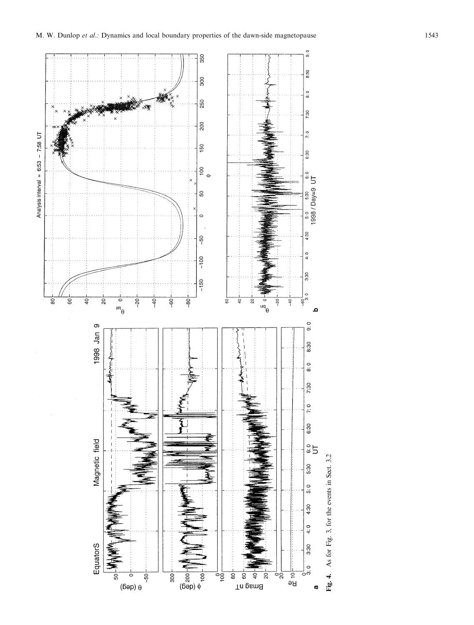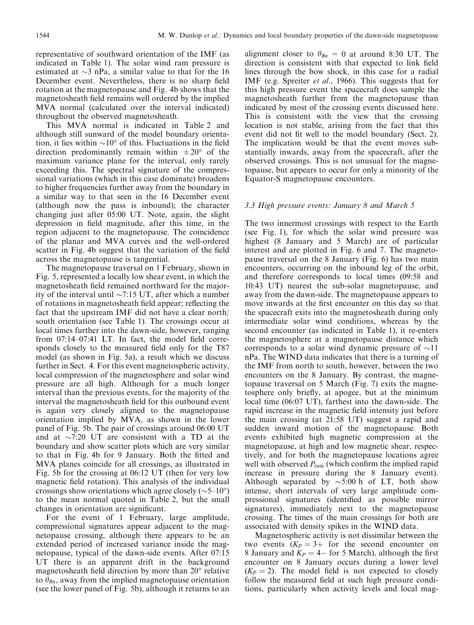representative of southward orientation of the IMF (as indicated in Table 1). The solar wind ram pressure is estimated at  $\sim$ 3 nPa, a similar value to that for the 16 December event. Nevertheless, there is no sharp field rotation at the magnetopause and Fig. 4b shows that the magnetosheath field remains well ordered by the implied MVA normal (calculated over the interval indicated) throughout the observed magnetosheath.

This MVA normal is indicated in Table 2 and although still sunward of the model boundary orientation, it lies within  $\sim 10^{\circ}$  of this. Fluctuations in the field direction predominantly remain within  $\pm 20^{\circ}$  of the maximum variance plane for the interval, only rarely exceeding this. The spectral signature of the compressional variations (which in this case dominate) broadens to higher frequencies further away from the boundary in a similar way to that seen in the 16 December event (although now the pass is inbound); the character changing just after 05:00 UT. Note, again, the slight depression in field magnitude, after this time, in the region adjacent to the magnetopause. The coincidence of the planar and MVA curves and the well-ordered scatter in Fig. 4b suggest that the variation of the field across the magnetopause is tangential.

The magnetopause traversal on 1 February, shown in Fig. 5, represented a locally low shear event, in which the magnetosheath field remained northward for the majority of the interval until  $\sim$ 7:15 UT, after which a number of rotations in magnetosheath field appear; reflecting the fact that the upstream IMF did not have a clear north/ south orientation (see Table 1). The crossings occur at local times further into the dawn-side, however, ranging from  $07:14-07:41$  LT. In fact, the model field corresponds closely to the measured field only for the T87 model (as shown in Fig. 5a), a result which we discuss further in Sect. 4. For this event magnetospheric activity, local compression of the magnetosphere and solar wind pressure are all high. Although for a much longer interval than the previous events, for the majority of the interval the magnetosheath field for this outbound event is again very closely aligned to the magnetopause orientation implied by MVA, as shown in the lower panel of Fig. 5b. The pair of crossings around 06:00 UT and at  $\sim$ 7:20 UT are consistent with a TD at the boundary and show scatter plots which are very similar to that in Fig. 4b for 9 January. Both the fitted and MVA planes coincide for all crossings, as illustrated in Fig. 5b for the crossing at 06:12 UT (then for very low magnetic field rotation). This analysis of the individual crossings show orientations which agree closely ( $\sim$ 5–10°) to the mean normal quoted in Table 2, but the small changes in orientation are significant.

For the event of 1 February, large amplitude, compressional signatures appear adjacent to the magnetopause crossing, although there appears to be an extended period of increased variance inside the magnetopause, typical of the dawn-side events. After 07:15 UT there is an apparent drift in the background magnetosheath field direction by more than  $20^{\circ}$  relative to  $\theta_{Bn}$ , away from the implied magnetopause orientation (see the lower panel of Fig. 5b), although it returns to an

alignment closer to  $\theta_{Bn} = 0$  at around 8:30 UT. The direction is consistent with that expected to link field lines through the bow shock, in this case for a radial IMF (e.g. Spreiter *et al.*, 1966). This suggests that for this high pressure event the spacecraft does sample the magnetosheath further from the magnetopause than indicated by most of the crossing events discussed here. This is consistent with the view that the crossing location is not stable, arising from the fact that this event did not fit well to the model boundary (Sect. 2). The implication would be that the event moves substantially inwards, away from the spacecraft, after the observed crossings. This is not unusual for the magnetopause, but appears to occur for only a minority of the Equator-S magnetopause encounters.

#### 3.3 High pressure events: January 8 and March 5

The two innermost crossings with respect to the Earth (see Fig. 1), for which the solar wind pressure was highest (8 January and 5 March) are of particular interest and are plotted in Fig. 6 and 7. The magnetopause traversal on the 8 January (Fig. 6) has two main encounters, occurring on the inbound leg of the orbit, and therefore corresponds to local times (09:58 and 10:43 UT) nearest the sub-solar magnetopause, and away from the dawn-side. The magnetopause appears to move inwards at the first encounter on this day so that the spacecraft exits into the magnetosheath during only intermediate solar wind conditions, whereas by the second encounter (as indicated in Table 1), it re-enters the magnetosphere at a magnetopause distance which corresponds to a solar wind dynamic pressure of  $\sim$ 11 nPa. The WIND data indicates that there is a turning of the IMF from north to south, however, between the two encounters on the 8 January. By contrast, the magnetopause traversal on 5 March (Fig. 7) exits the magnetosphere only briefly, at apogee, but at the minimum local time (06:07 UT), farthest into the dawn-side. The rapid increase in the magnetic field intensity just before the main crossing (at 21:58 UT) suggest a rapid and sudden inward motion of the magnetopause. Both events exhibited high magnetic compression at the magnetopause, at high and low magnetic shear, respectively, and for both the magnetopause locations agree well with observed  $P_{\text{ram}}$  (which confirm the implied rapid increase in pressure during the 8 January event). Although separated by  $\sim$ 5:00 h of LT, both show intense, short intervals of very large amplitude compressional signatures (identified as possible mirror signatures), immediately next to the magnetopause crossing. The times of the main crossings for both are associated with density spikes in the WIND data.

Magnetospheric activity is not dissimilar between the two events  $(K_P = 3 +$  for the second encounter on 8 January and  $K_P = 4-$  for 5 March), although the first encounter on 8 January occurs during a lower level  $(K_P = 2)$ . The model field is not expected to closely follow the measured field at such high pressure conditions, particularly when activity levels and local mag-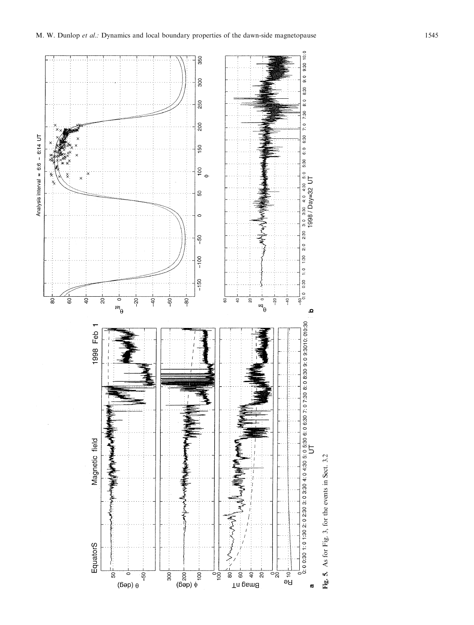

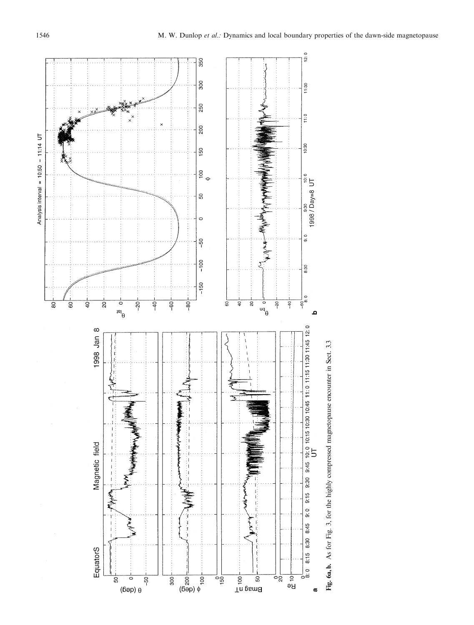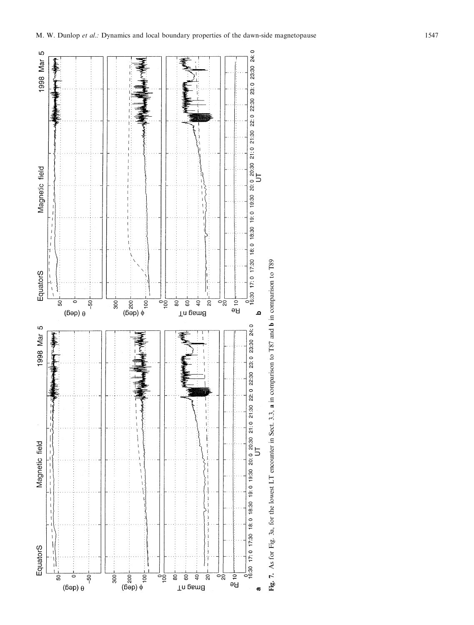

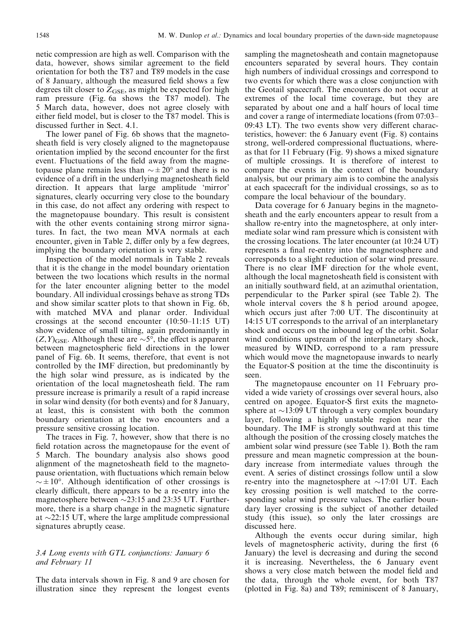netic compression are high as well. Comparison with the data, however, shows similar agreement to the field orientation for both the T87 and T89 models in the case of 8 January, although the measured field shows a few degrees tilt closer to  $Z_{\text{GSE}}$ , as might be expected for high ram pressure (Fig. 6a shows the T87 model). The 5 March data, however, does not agree closely with either field model, but is closer to the T87 model. This is discussed further in Sect. 4.1.

The lower panel of Fig. 6b shows that the magnetosheath field is very closely aligned to the magnetopause orientation implied by the second encounter for the first event. Fluctuations of the field away from the magnetopause plane remain less than  $\sim \pm 20^{\circ}$  and there is no evidence of a drift in the underlying magnetosheath field direction. It appears that large amplitude `mirror' signatures, clearly occurring very close to the boundary in this case, do not affect any ordering with respect to the magnetopause boundary. This result is consistent with the other events containing strong mirror signatures. In fact, the two mean MVA normals at each encounter, given in Table 2, differ only by a few degrees, implying the boundary orientation is very stable.

Inspection of the model normals in Table 2 reveals that it is the change in the model boundary orientation between the two locations which results in the normal for the later encounter aligning better to the model boundary. All individual crossings behave as strong TDs and show similar scatter plots to that shown in Fig. 6b, with matched MVA and planar order. Individual crossings at the second encounter  $(10:50-11:15 \text{ UT})$ show evidence of small tilting, again predominantly in  $(Z, Y)_{\text{GSE}}$ . Although these are  $\sim 5^{\circ}$ , the effect is apparent between magnetospheric field directions in the lower panel of Fig. 6b. It seems, therefore, that event is not controlled by the IMF direction, but predominantly by the high solar wind pressure, as is indicated by the orientation of the local magnetosheath field. The ram pressure increase is primarily a result of a rapid increase in solar wind density (for both events) and for 8 January, at least, this is consistent with both the common boundary orientation at the two encounters and a pressure sensitive crossing location.

The traces in Fig. 7, however, show that there is no field rotation across the magnetopause for the event of 5 March. The boundary analysis also shows good alignment of the magnetosheath field to the magnetopause orientation, with fluctuations which remain below  $\sim \pm 10^{\circ}$ . Although identification of other crossings is clearly difficult, there appears to be a re-entry into the magnetosphere between  $\sim$ 23:15 and 23:35 UT. Furthermore, there is a sharp change in the magnetic signature at  $\sim$ 22:15 UT, where the large amplitude compressional signatures abruptly cease.

#### 3.4 Long events with GTL conjunctions: January 6 and February 11

The data intervals shown in Fig. 8 and 9 are chosen for illustration since they represent the longest events sampling the magnetosheath and contain magnetopause encounters separated by several hours. They contain high numbers of individual crossings and correspond to two events for which there was a close conjunction with the Geotail spacecraft. The encounters do not occur at extremes of the local time coverage, but they are separated by about one and a half hours of local time and cover a range of intermediate locations (from 07:03–  $09:43$  LT). The two events show very different characteristics, however: the 6 January event (Fig. 8) contains strong, well-ordered compressional fluctuations, whereas that for 11 February (Fig. 9) shows a mixed signature of multiple crossings. It is therefore of interest to compare the events in the context of the boundary analysis, but our primary aim is to combine the analysis at each spacecraft for the individual crossings, so as to compare the local behaviour of the boundary.

Data coverage for 6 January begins in the magnetosheath and the early encounters appear to result from a shallow re-entry into the magnetosphere, at only intermediate solar wind ram pressure which is consistent with the crossing locations. The later encounter (at 10:24 UT) represents a final re-entry into the magnetosphere and corresponds to a slight reduction of solar wind pressure. There is no clear IMF direction for the whole event, although the local magnetosheath field is consistent with an initially southward field, at an azimuthal orientation, perpendicular to the Parker spiral (see Table 2). The whole interval covers the 8 h period around apogee, which occurs just after 7:00 UT. The discontinuity at 14:15 UT corresponds to the arrival of an interplanetary shock and occurs on the inbound leg of the orbit. Solar wind conditions upstream of the interplanetary shock, measured by WIND, correspond to a ram pressure which would move the magnetopause inwards to nearly the Equator-S position at the time the discontinuity is seen.

The magnetopause encounter on 11 February provided a wide variety of crossings over several hours, also centred on apogee. Equator-S first exits the magnetosphere at  $\sim$ 13:09 UT through a very complex boundary layer, following a highly unstable region near the boundary. The IMF is strongly southward at this time although the position of the crossing closely matches the ambient solar wind pressure (see Table 1). Both the ram pressure and mean magnetic compression at the boundary increase from intermediate values through the event. A series of distinct crossings follow until a slow re-entry into the magnetosphere at  $\sim$ 17:01 UT. Each key crossing position is well matched to the corresponding solar wind pressure values. The earlier boundary layer crossing is the subject of another detailed study (this issue), so only the later crossings are discussed here.

Although the events occur during similar, high levels of magnetospheric activity, during the first (6 January) the level is decreasing and during the second it is increasing. Nevertheless, the 6 January event shows a very close match between the model field and the data, through the whole event, for both T87 (plotted in Fig. 8a) and T89; reminiscent of 8 January,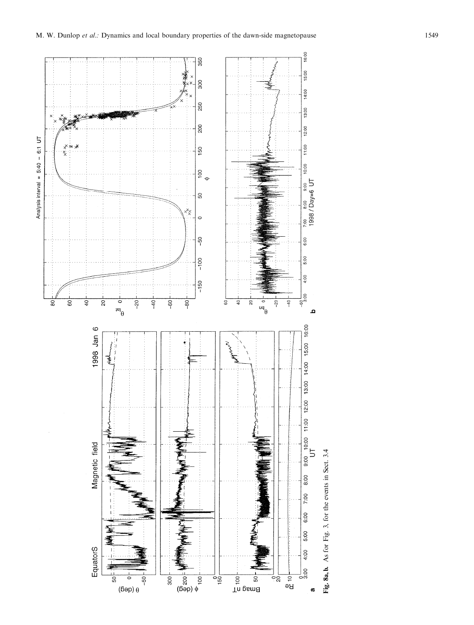

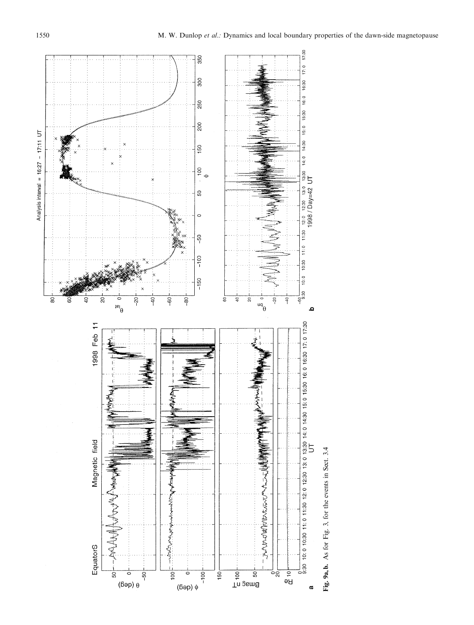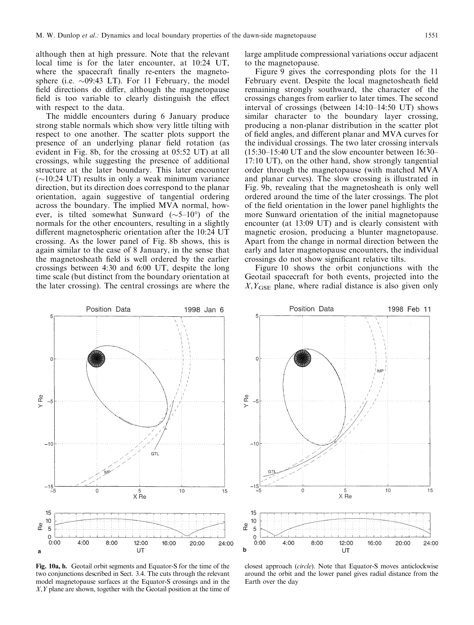although then at high pressure. Note that the relevant local time is for the later encounter, at 10:24 UT, where the spacecraft finally re-enters the magnetosphere (i.e.  $\sim 09:43$  LT). For 11 February, the model field directions do differ, although the magnetopause field is too variable to clearly distinguish the effect with respect to the data.

The middle encounters during 6 January produce strong stable normals which show very little tilting with respect to one another. The scatter plots support the presence of an underlying planar field rotation (as evident in Fig. 8b, for the crossing at 05:52 UT) at all crossings, while suggesting the presence of additional structure at the later boundary. This later encounter  $(\sim10:24 \text{ UT})$  results in only a weak minimum variance direction, but its direction does correspond to the planar orientation, again suggestive of tangential ordering across the boundary. The implied MVA normal, however, is tilted somewhat Sunward ( $\sim$ 5-10°) of the normals for the other encounters, resulting in a slightly different magnetospheric orientation after the 10:24 UT crossing. As the lower panel of Fig. 8b shows, this is again similar to the case of 8 January, in the sense that the magnetosheath field is well ordered by the earlier crossings between 4:30 and 6:00 UT, despite the long time scale (but distinct from the boundary orientation at the later crossing). The central crossings are where the large amplitude compressional variations occur adjacent to the magnetopause.

Figure 9 gives the corresponding plots for the 11 February event. Despite the local magnetosheath field remaining strongly southward, the character of the crossings changes from earlier to later times. The second interval of crossings (between  $14:10-14:50$  UT) shows similar character to the boundary layer crossing, producing a non-planar distribution in the scatter plot of field angles, and different planar and MVA curves for the individual crossings. The two later crossing intervals  $(15:30-15:40 \text{ UT}$  and the slow encounter between  $16:30-$ 17:10 UT), on the other hand, show strongly tangential order through the magnetopause (with matched MVA and planar curves). The slow crossing is illustrated in Fig. 9b, revealing that the magnetosheath is only well ordered around the time of the later crossings. The plot of the field orientation in the lower panel highlights the more Sunward orientation of the initial magnetopause encounter (at 13:09 UT) and is clearly consistent with magnetic erosion, producing a blunter magnetopause. Apart from the change in normal direction between the early and later magnetopause encounters, the individual crossings do not show significant relative tilts.

Figure 10 shows the orbit conjunctions with the Geotail spacecraft for both events, projected into the  $X, Y_{\text{GSE}}$  plane, where radial distance is also given only



Fig. 10a, b. Geotail orbit segments and Equator-S for the time of the two conjunctions described in Sect. 3.4. The cuts through the relevant model magnetopause surfaces at the Equator-S crossings and in the X,Y plane are shown, together with the Geotail position at the time of



closest approach (circle). Note that Equator-S moves anticlockwise around the orbit and the lower panel gives radial distance from the Earth over the day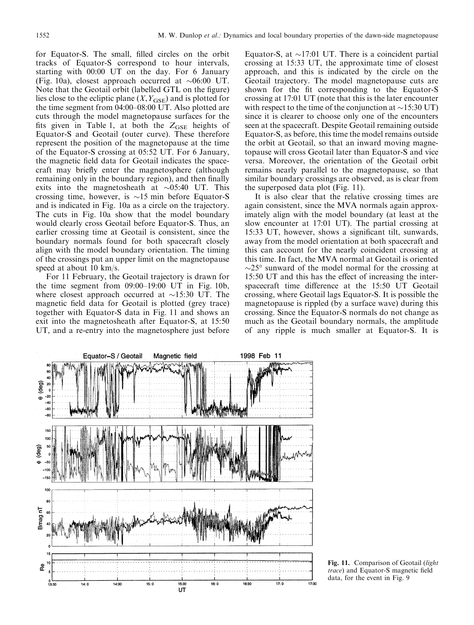for Equator-S. The small, filled circles on the orbit tracks of Equator-S correspond to hour intervals, starting with 00:00 UT on the day. For 6 January (Fig. 10a), closest approach occurred at  $\sim 06:00$  UT. Note that the Geotail orbit (labelled GTL on the figure) lies close to the ecliptic plane  $(X, Y_{\text{GSE}})$  and is plotted for the time segment from  $04:00-08:00$  UT. Also plotted are cuts through the model magnetopause surfaces for the fits given in Table 1, at both the  $Z_{GSE}$  heights of Equator-S and Geotail (outer curve). These therefore represent the position of the magnetopause at the time of the Equator-S crossing at 05:52 UT. For 6 January, the magnetic field data for Geotail indicates the spacecraft may briefly enter the magnetosphere (although remaining only in the boundary region), and then finally exits into the magnetosheath at  $\sim 05:40$  UT. This crossing time, however, is  $\sim 15$  min before Equator-S and is indicated in Fig. 10a as a circle on the trajectory. The cuts in Fig. 10a show that the model boundary would clearly cross Geotail before Equator-S. Thus, an earlier crossing time at Geotail is consistent, since the boundary normals found for both spacecraft closely align with the model boundary orientation. The timing of the crossings put an upper limit on the magnetopause speed at about 10 km/s.

For 11 February, the Geotail trajectory is drawn for the time segment from  $09:00-19:00$  UT in Fig. 10b, where closest approach occurred at  $\sim$ 15:30 UT. The magnetic field data for Geotail is plotted (grey trace) together with Equator-S data in Fig. 11 and shows an exit into the magnetosheath after Equator-S, at 15:50 UT, and a re-entry into the magnetosphere just before

Equator-S, at  $\sim$ 17:01 UT. There is a coincident partial crossing at 15:33 UT, the approximate time of closest approach, and this is indicated by the circle on the Geotail trajectory. The model magnetopause cuts are shown for the fit corresponding to the Equator-S crossing at 17:01 UT (note that this is the later encounter with respect to the time of the conjunction at  $\sim$ 15:30 UT) since it is clearer to choose only one of the encounters seen at the spacecraft. Despite Geotail remaining outside Equator-S, as before, this time the model remains outside the orbit at Geotail, so that an inward moving magnetopause will cross Geotail later than Equator-S and vice versa. Moreover, the orientation of the Geotail orbit remains nearly parallel to the magnetopause, so that similar boundary crossings are observed, as is clear from the superposed data plot (Fig. 11).

It is also clear that the relative crossing times are again consistent, since the MVA normals again approximately align with the model boundary (at least at the slow encounter at 17:01 UT). The partial crossing at 15:33 UT, however, shows a significant tilt, sunwards, away from the model orientation at both spacecraft and this can account for the nearly coincident crossing at this time. In fact, the MVA normal at Geotail is oriented  $\sim$ 25° sunward of the model normal for the crossing at 15:50 UT and this has the effect of increasing the interspacecraft time difference at the 15:50 UT Geotail crossing, where Geotail lags Equator-S. It is possible the magnetopause is rippled (by a surface wave) during this crossing. Since the Equator-S normals do not change as much as the Geotail boundary normals, the amplitude of any ripple is much smaller at Equator-S. It is



Fig. 11. Comparison of Geotail (light trace) and Equator-S magnetic field data, for the event in Fig. 9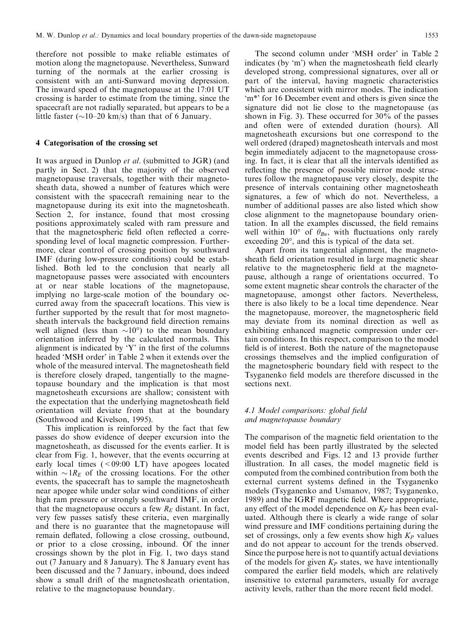therefore not possible to make reliable estimates of motion along the magnetopause. Nevertheless, Sunward turning of the normals at the earlier crossing is consistent with an anti-Sunward moving depression. The inward speed of the magnetopause at the 17:01 UT crossing is harder to estimate from the timing, since the spacecraft are not radially separated, but appears to be a little faster ( $\sim$ 10–20 km/s) than that of 6 January.

#### 4 Categorisation of the crossing set

It was argued in Dunlop et al. (submitted to JGR) (and partly in Sect. 2) that the majority of the observed magnetopause traversals, together with their magnetosheath data, showed a number of features which were consistent with the spacecraft remaining near to the magnetopause during its exit into the magnetosheath. Section 2, for instance, found that most crossing positions approximately scaled with ram pressure and that the magnetospheric field often reflected a corresponding level of local magnetic compression. Furthermore, clear control of crossing position by southward IMF (during low-pressure conditions) could be established. Both led to the conclusion that nearly all magnetopause passes were associated with encounters at or near stable locations of the magnetopause, implying no large-scale motion of the boundary occurred away from the spacecraft locations. This view is further supported by the result that for most magnetosheath intervals the background field direction remains well aligned (less than  $\sim 10^{\circ}$ ) to the mean boundary orientation inferred by the calculated normals. This alignment is indicated by  $Y'$  in the first of the columns headed `MSH order' in Table 2 when it extends over the whole of the measured interval. The magnetosheath field is therefore closely draped, tangentially to the magnetopause boundary and the implication is that most magnetosheath excursions are shallow; consistent with the expectation that the underlying magnetosheath field orientation will deviate from that at the boundary (Southwood and Kivelson, 1995).

This implication is reinforced by the fact that few passes do show evidence of deeper excursion into the magnetosheath, as discussed for the events earlier. It is clear from Fig. 1, however, that the events occurring at early local times  $(<09:00$  LT) have apogees located within  $\sim 1R_E$  of the crossing locations. For the other events, the spacecraft has to sample the magnetosheath near apogee while under solar wind conditions of either high ram pressure or strongly southward IMF, in order that the magnetopause occurs a few  $R_E$  distant. In fact, very few passes satisfy these criteria, even marginally and there is no guarantee that the magnetopause will remain deflated, following a close crossing, outbound, or prior to a close crossing, inbound. Of the inner crossings shown by the plot in Fig. 1, two days stand out (7 January and 8 January). The 8 January event has been discussed and the 7 January, inbound, does indeed show a small drift of the magnetosheath orientation, relative to the magnetopause boundary.

The second column under 'MSH order' in Table 2 indicates (by 'm') when the magnetosheath field clearly developed strong, compressional signatures, over all or part of the interval, having magnetic characteristics which are consistent with mirror modes. The indication `m\*' for 16 December event and others is given since the signature did not lie close to the magnetopause (as shown in Fig. 3). These occurred for 30% of the passes and often were of extended duration (hours). All magnetosheath excursions but one correspond to the well ordered (draped) magnetosheath intervals and most begin immediately adjacent to the magnetopause crossing. In fact, it is clear that all the intervals identified as reflecting the presence of possible mirror mode structures follow the magnetopause very closely, despite the presence of intervals containing other magnetosheath signatures, a few of which do not. Nevertheless, a number of additional passes are also listed which show close alignment to the magnetopause boundary orientation. In all the examples discussed, the field remains well within 10° of  $\theta_{Bn}$ , with fluctuations only rarely exceeding 20°, and this is typical of the data set.

Apart from its tangential alignment, the magnetosheath field orientation resulted in large magnetic shear relative to the magnetospheric field at the magnetopause, although a range of orientations occurred. To some extent magnetic shear controls the character of the magnetopause, amongst other factors. Nevertheless, there is also likely to be a local time dependence. Near the magnetopause, moreover, the magnetospheric field may deviate from its nominal direction as well as exhibiting enhanced magnetic compression under certain conditions. In this respect, comparison to the model field is of interest. Both the nature of the magnetopause crossings themselves and the implied configuration of the magnetospheric boundary field with respect to the Tsyganenko field models are therefore discussed in the sections next.

## 4.1 Model comparisons: global field and magnetopause boundary

The comparison of the magnetic field orientation to the model field has been partly illustrated by the selected events described and Figs. 12 and 13 provide further illustration. In all cases, the model magnetic field is computed from the combined contribution from both the external current systems defined in the Tsyganenko models (Tsyganenko and Usmanov, 1987; Tsyganenko, 1989) and the IGRF magnetic field. Where appropriate, any effect of the model dependence on  $K_P$  has been evaluated. Although there is clearly a wide range of solar wind pressure and IMF conditions pertaining during the set of crossings, only a few events show high  $K_P$  values and do not appear to account for the trends observed. Since the purpose here is not to quantify actual deviations of the models for given  $K_P$  states, we have intentionally compared the earlier field models, which are relatively insensitive to external parameters, usually for average activity levels, rather than the more recent field model.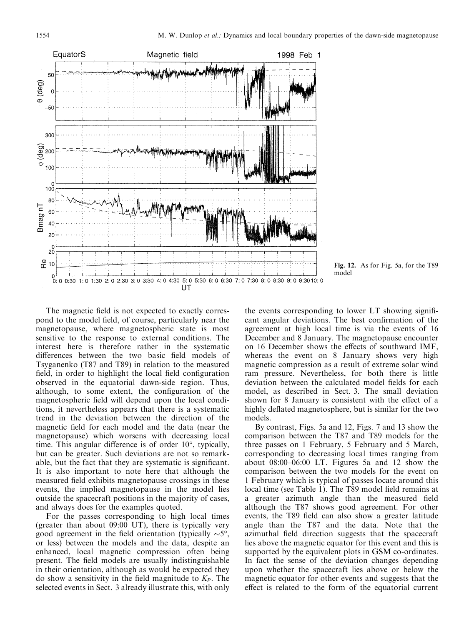

Fig. 12. As for Fig. 5a, for the T89 model

The magnetic field is not expected to exactly correspond to the model field, of course, particularly near the magnetopause, where magnetospheric state is most sensitive to the response to external conditions. The interest here is therefore rather in the systematic differences between the two basic field models of Tsyganenko (T87 and T89) in relation to the measured field, in order to highlight the local field configuration observed in the equatorial dawn-side region. Thus, although, to some extent, the configuration of the magnetospheric field will depend upon the local conditions, it nevertheless appears that there is a systematic trend in the deviation between the direction of the magnetic field for each model and the data (near the magnetopause) which worsens with decreasing local time. This angular difference is of order  $10^{\circ}$ , typically, but can be greater. Such deviations are not so remarkable, but the fact that they are systematic is significant. It is also important to note here that although the measured field exhibits magnetopause crossings in these events, the implied magnetopause in the model lies outside the spacecraft positions in the majority of cases, and always does for the examples quoted.

For the passes corresponding to high local times (greater than about 09:00 UT), there is typically very good agreement in the field orientation (typically  $\sim 5^{\circ}$ , or less) between the models and the data, despite an enhanced, local magnetic compression often being present. The field models are usually indistinguishable in their orientation, although as would be expected they do show a sensitivity in the field magnitude to  $K_P$ . The selected events in Sect. 3 already illustrate this, with only

the events corresponding to lower LT showing significant angular deviations. The best confirmation of the agreement at high local time is via the events of 16 December and 8 January. The magnetopause encounter on 16 December shows the effects of southward IMF, whereas the event on 8 January shows very high magnetic compression as a result of extreme solar wind ram pressure. Nevertheless, for both there is little deviation between the calculated model fields for each model, as described in Sect. 3. The small deviation shown for 8 January is consistent with the effect of a highly deflated magnetosphere, but is similar for the two models.

By contrast, Figs. 5a and 12, Figs. 7 and 13 show the comparison between the T87 and T89 models for the three passes on 1 February, 5 February and 5 March, corresponding to decreasing local times ranging from about  $08:00-06:00$  LT. Figures 5a and 12 show the comparison between the two models for the event on 1 February which is typical of passes locate around this local time (see Table 1). The T89 model field remains at a greater azimuth angle than the measured field although the T87 shows good agreement. For other events, the T89 field can also show a greater latitude angle than the T87 and the data. Note that the azimuthal field direction suggests that the spacecraft lies above the magnetic equator for this event and this is supported by the equivalent plots in GSM co-ordinates. In fact the sense of the deviation changes depending upon whether the spacecraft lies above or below the magnetic equator for other events and suggests that the effect is related to the form of the equatorial current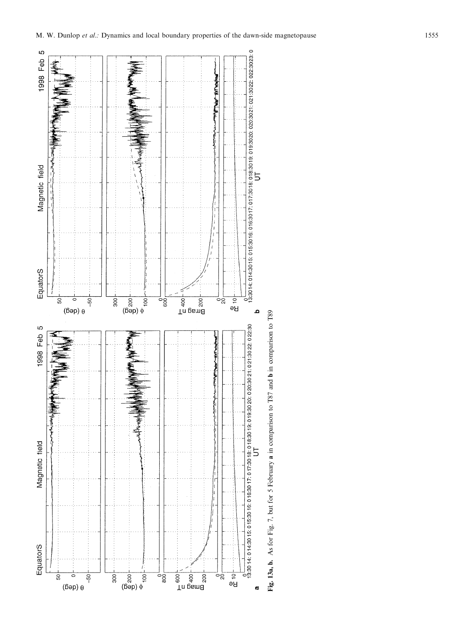

 $\frac{1}{2}$ <br>  $\frac{1}{2}$ <br>  $\frac{1}{2}$ <br>  $\frac{1}{2}$ <br>  $\frac{1}{2}$ <br>  $\frac{1}{2}$ <br>  $\frac{1}{2}$ <br>  $\frac{1}{2}$ <br>  $\frac{1}{2}$ <br>  $\frac{1}{2}$ <br>  $\frac{1}{2}$ <br>  $\frac{1}{2}$ <br>  $\frac{1}{2}$ <br>  $\frac{1}{2}$ <br>  $\frac{1}{2}$ <br>  $\frac{1}{2}$ <br>  $\frac{1}{2}$ <br>  $\frac{1}{2}$ 

300

 $\frac{1}{2}$ 

 $\begin{array}{ccc}\n\text{In pism}\n\\
\text{S} & \text{S} & \text{S} \\
\text{S} & \text{S} & \text{S}\n\end{array}$ 

 $\overline{5}$ <br>Be

a

ခင္လ

EquatorS

 $50\,$ 

 $\subset$  $(\text{6ep}) \theta$   $-50$ 

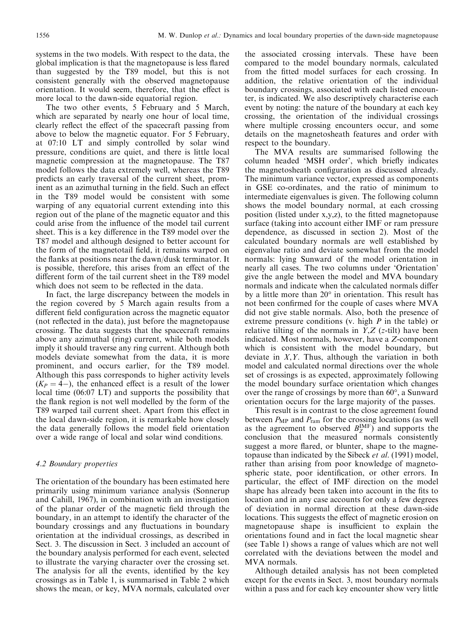systems in the two models. With respect to the data, the global implication is that the magnetopause is less flared than suggested by the T89 model, but this is not consistent generally with the observed magnetopause orientation. It would seem, therefore, that the effect is more local to the dawn-side equatorial region.

The two other events, 5 February and 5 March, which are separated by nearly one hour of local time, clearly reflect the effect of the spacecraft passing from above to below the magnetic equator. For 5 February, at 07:10 LT and simply controlled by solar wind pressure, conditions are quiet, and there is little local magnetic compression at the magnetopause. The T87 model follows the data extremely well, whereas the T89 predicts an early traversal of the current sheet, prominent as an azimuthal turning in the field. Such an effect in the T89 model would be consistent with some warping of any equatorial current extending into this region out of the plane of the magnetic equator and this could arise from the influence of the model tail current sheet. This is a key difference in the T89 model over the T87 model and although designed to better account for the form of the magnetotail field, it remains warped on the flanks at positions near the dawn/dusk terminator. It is possible, therefore, this arises from an effect of the different form of the tail current sheet in the T89 model which does not seem to be reflected in the data.

In fact, the large discrepancy between the models in the region covered by 5 March again results from a different field configuration across the magnetic equator (not reflected in the data), just before the magnetopause crossing. The data suggests that the spacecraft remains above any azimuthal (ring) current, while both models imply it should traverse any ring current. Although both models deviate somewhat from the data, it is more prominent, and occurs earlier, for the T89 model. Although this pass corresponds to higher activity levels  $(K_P = 4)$ , the enhanced effect is a result of the lower local time (06:07 LT) and supports the possibility that the flank region is not well modelled by the form of the T89 warped tail current sheet. Apart from this effect in the local dawn-side region, it is remarkable how closely the data generally follows the model field orientation over a wide range of local and solar wind conditions.

#### 4.2 Boundary properties

The orientation of the boundary has been estimated here primarily using minimum variance analysis (Sonnerup and Cahill, 1967), in combination with an investigation of the planar order of the magnetic field through the boundary, in an attempt to identify the character of the boundary crossings and any fluctuations in boundary orientation at the individual crossings, as described in Sect. 3. The discussion in Sect. 3 included an account of the boundary analysis performed for each event, selected to illustrate the varying character over the crossing set. The analysis for all the events, identified by the key crossings as in Table 1, is summarised in Table 2 which shows the mean, or key, MVA normals, calculated over

the associated crossing intervals. These have been compared to the model boundary normals, calculated from the fitted model surfaces for each crossing. In addition, the relative orientation of the individual boundary crossings, associated with each listed encounter, is indicated. We also descriptively characterise each event by noting: the nature of the boundary at each key crossing, the orientation of the individual crossings where multiple crossing encounters occur, and some details on the magnetosheath features and order with respect to the boundary.

The MVA results are summarised following the column headed 'MSH order', which briefly indicates the magnetosheath configuration as discussed already. The minimum variance vector, expressed as components in GSE co-ordinates, and the ratio of minimum to intermediate eigenvalues is given. The following column shows the model boundary normal, at each crossing position (listed under  $x,y,z$ ), to the fitted magnetopause surface (taking into account either IMF or ram pressure dependence, as discussed in section 2). Most of the calculated boundary normals are well established by eigenvalue ratio and deviate somewhat from the model normals: lying Sunward of the model orientation in nearly all cases. The two columns under `Orientation' give the angle between the model and MVA boundary normals and indicate when the calculated normals differ by a little more than 20° in orientation. This result has not been confirmed for the couple of cases where MVA did not give stable normals. Also, both the presence of extreme pressure conditions (v. high P in the table) or relative tilting of the normals in  $Y,Z$  (*z*-tilt) have been indicated. Most normals, however, have a Z-component which is consistent with the model boundary, but deviate in  $X, Y$ . Thus, although the variation in both model and calculated normal directions over the whole set of crossings is as expected, approximately following the model boundary surface orientation which changes over the range of crossings by more than 60°, a Sunward orientation occurs for the large majority of the passes.

This result is in contrast to the close agreement found between  $P_{MP}$  and  $P_{ram}$  for the crossing locations (as well as the agreement to observed  $B_{Z}^{IMF}$ ) and supports the conclusion that the measured normals consistently suggest a more flared, or blunter, shape to the magnetopause than indicated by the Sibeck et al. (1991) model, rather than arising from poor knowledge of magnetospheric state, poor identification, or other errors. In particular, the effect of IMF direction on the model shape has already been taken into account in the fits to location and in any case accounts for only a few degrees of deviation in normal direction at these dawn-side locations. This suggests the effect of magnetic erosion on magnetopause shape is insufficient to explain the orientations found and in fact the local magnetic shear (see Table 1) shows a range of values which are not well correlated with the deviations between the model and MVA normals.

Although detailed analysis has not been completed except for the events in Sect. 3, most boundary normals within a pass and for each key encounter show very little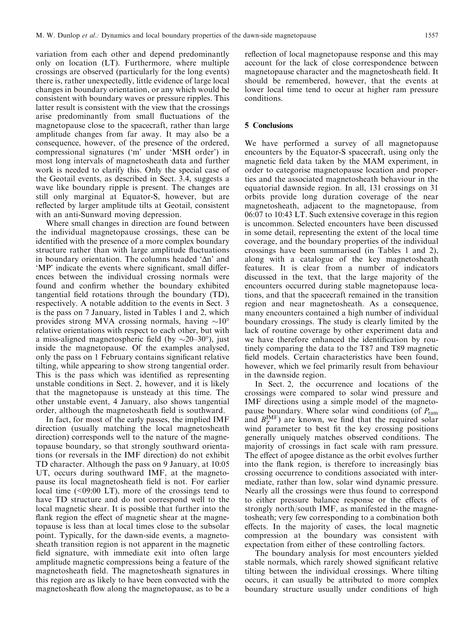variation from each other and depend predominantly only on location (LT). Furthermore, where multiple crossings are observed (particularly for the long events) there is, rather unexpectedly, little evidence of large local changes in boundary orientation, or any which would be consistent with boundary waves or pressure ripples. This latter result is consistent with the view that the crossings arise predominantly from small fluctuations of the magnetopause close to the spacecraft, rather than large amplitude changes from far away. It may also be a consequence, however, of the presence of the ordered, compressional signatures (`m' under `MSH order') in most long intervals of magnetosheath data and further work is needed to clarify this. Only the special case of the Geotail events, as described in Sect. 3.4, suggests a wave like boundary ripple is present. The changes are still only marginal at Equator-S, however, but are reflected by larger amplitude tilts at Geotail, consistent with an anti-Sunward moving depression.

Where small changes in direction are found between the individual magnetopause crossings, these can be identified with the presence of a more complex boundary structure rather than with large amplitude fluctuations in boundary orientation. The columns headed  $\Delta n'$  and 'MP' indicate the events where significant, small differences between the individual crossing normals were found and confirm whether the boundary exhibited tangential field rotations through the boundary (TD), respectively. A notable addition to the events in Sect. 3 is the pass on 7 January, listed in Tables 1 and 2, which provides strong MVA crossing normals, having  $\sim 10^{\circ}$ relative orientations with respect to each other, but with a miss-aligned magnetospheric field (by  $\sim$ 20–30°), just inside the magnetopause. Of the examples analysed, only the pass on 1 February contains significant relative tilting, while appearing to show strong tangential order. This is the pass which was identified as representing unstable conditions in Sect. 2, however, and it is likely that the magnetopause is unsteady at this time. The other unstable event, 4 January, also shows tangential order, although the magnetosheath field is southward.

In fact, for most of the early passes, the implied IMF direction (usually matching the local magnetosheath direction) corresponds well to the nature of the magnetopause boundary, so that strongly southward orientations (or reversals in the IMF direction) do not exhibit TD character. Although the pass on 9 January, at 10:05 UT, occurs during southward IMF, at the magnetopause its local magnetosheath field is not. For earlier local time  $($  <09:00 LT), more of the crossings tend to have TD structure and do not correspond well to the local magnetic shear. It is possible that further into the flank region the effect of magnetic shear at the magnetopause is less than at local times close to the subsolar point. Typically, for the dawn-side events, a magnetosheath transition region is not apparent in the magnetic field signature, with immediate exit into often large amplitude magnetic compressions being a feature of the magnetosheath field. The magnetosheath signatures in this region are as likely to have been convected with the magnetosheath flow along the magnetopause, as to be a

reflection of local magnetopause response and this may account for the lack of close correspondence between magnetopause character and the magnetosheath field. It should be remembered, however, that the events at lower local time tend to occur at higher ram pressure conditions.

## 5 Conclusions

We have performed a survey of all magnetopause encounters by the Equator-S spacecraft, using only the magnetic field data taken by the MAM experiment, in order to categorise magnetopause location and properties and the associated magnetosheath behaviour in the equatorial dawnside region. In all, 131 crossings on 31 orbits provide long duration coverage of the near magnetosheath, adjacent to the magnetopause, from 06:07 to 10:43 LT. Such extensive coverage in this region is uncommon. Selected encounters have been discussed in some detail, representing the extent of the local time coverage, and the boundary properties of the individual crossings have been summarised (in Tables 1 and 2), along with a catalogue of the key magnetosheath features. It is clear from a number of indicators discussed in the text, that the large majority of the encounters occurred during stable magnetopause locations, and that the spacecraft remained in the transition region and near magnetosheath. As a consequence, many encounters contained a high number of individual boundary crossings. The study is clearly limited by the lack of routine coverage by other experiment data and we have therefore enhanced the identification by routinely comparing the data to the T87 and T89 magnetic field models. Certain characteristics have been found, however, which we feel primarily result from behaviour in the dawnside region.

In Sect. 2, the occurrence and locations of the crossings were compared to solar wind pressure and IMF directions using a simple model of the magnetopause boundary. Where solar wind conditions (of  $P_{\text{ram}}$ ) and  $B_Z^{\text{IMF}}$ ) are known, we find that the required solar wind parameter to best fit the key crossing positions generally uniquely matches observed conditions. The majority of crossings in fact scale with ram pressure. The effect of apogee distance as the orbit evolves further into the flank region, is therefore to increasingly bias crossing occurrence to conditions associated with intermediate, rather than low, solar wind dynamic pressure. Nearly all the crossings were thus found to correspond to either pressure balance response or the effects of strongly north/south IMF, as manifested in the magnetosheath; very few corresponding to a combination both effects. In the majority of cases, the local magnetic compression at the boundary was consistent with expectation from either of these controlling factors.

The boundary analysis for most encounters yielded stable normals, which rarely showed significant relative tilting between the individual crossings. Where tilting occurs, it can usually be attributed to more complex boundary structure usually under conditions of high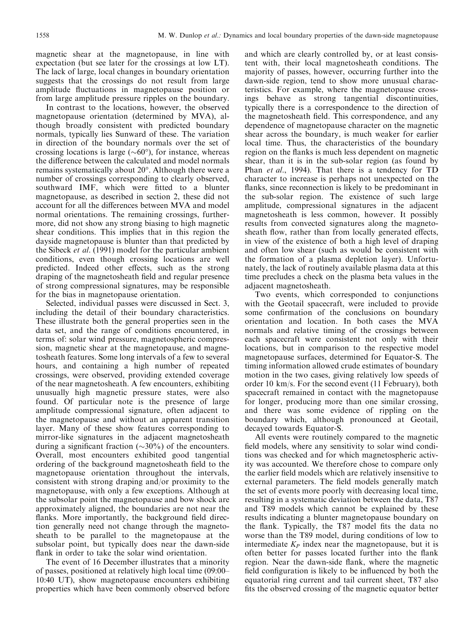magnetic shear at the magnetopause, in line with expectation (but see later for the crossings at low LT). The lack of large, local changes in boundary orientation suggests that the crossings do not result from large amplitude fluctuations in magnetopause position or from large amplitude pressure ripples on the boundary.

In contrast to the locations, however, the observed magnetopause orientation (determined by MVA), although broadly consistent with predicted boundary normals, typically lies Sunward of these. The variation in direction of the boundary normals over the set of crossing locations is large  $({\sim}60^{\circ})$ , for instance, whereas the difference between the calculated and model normals remains systematically about 20°. Although there were a number of crossings corresponding to clearly observed, southward IMF, which were fitted to a blunter magnetopause, as described in section 2, these did not account for all the differences between MVA and model normal orientations. The remaining crossings, furthermore, did not show any strong biasing to high magnetic shear conditions. This implies that in this region the dayside magnetopause is blunter than that predicted by the Sibeck et al. (1991) model for the particular ambient conditions, even though crossing locations are well predicted. Indeed other effects, such as the strong draping of the magnetosheath field and regular presence of strong compressional signatures, may be responsible for the bias in magnetopause orientation.

Selected, individual passes were discussed in Sect. 3, including the detail of their boundary characteristics. These illustrate both the general properties seen in the data set, and the range of conditions encountered, in terms of: solar wind pressure, magnetospheric compression, magnetic shear at the magnetopause, and magnetosheath features. Some long intervals of a few to several hours, and containing a high number of repeated crossings, were observed, providing extended coverage of the near magnetosheath. A few encounters, exhibiting unusually high magnetic pressure states, were also found. Of particular note is the presence of large amplitude compressional signature, often adjacent to the magnetopause and without an apparent transition layer. Many of these show features corresponding to mirror-like signatures in the adjacent magnetosheath during a significant fraction ( $\sim$ 30%) of the encounters. Overall, most encounters exhibited good tangential ordering of the background magnetosheath field to the magnetopause orientation throughout the intervals, consistent with strong draping and/or proximity to the magnetopause, with only a few exceptions. Although at the subsolar point the magnetopause and bow shock are approximately aligned, the boundaries are not near the flanks. More importantly, the background field direction generally need not change through the magnetosheath to be parallel to the magnetopause at the subsolar point, but typically does near the dawn-side flank in order to take the solar wind orientation.

The event of 16 December illustrates that a minority of passes, positioned at relatively high local time (09:00– 10:40 UT), show magnetopause encounters exhibiting properties which have been commonly observed before and which are clearly controlled by, or at least consistent with, their local magnetosheath conditions. The majority of passes, however, occurring further into the dawn-side region, tend to show more unusual characteristics. For example, where the magnetopause crossings behave as strong tangential discontinuities, typically there is a correspondence to the direction of the magnetosheath field. This correspondence, and any dependence of magnetopause character on the magnetic shear across the boundary, is much weaker for earlier local time. Thus, the characteristics of the boundary region on the flanks is much less dependent on magnetic shear, than it is in the sub-solar region (as found by Phan *et al.*, 1994). That there is a tendency for TD character to increase is perhaps not unexpected on the flanks, since reconnection is likely to be predominant in the sub-solar region. The existence of such large amplitude, compressional signatures in the adjacent magnetosheath is less common, however. It possibly results from convected signatures along the magnetosheath flow, rather than from locally generated effects, in view of the existence of both a high level of draping and often low shear (such as would be consistent with the formation of a plasma depletion layer). Unfortunately, the lack of routinely available plasma data at this time precludes a check on the plasma beta values in the adjacent magnetosheath.

Two events, which corresponded to conjunctions with the Geotail spacecraft, were included to provide some confirmation of the conclusions on boundary orientation and location. In both cases the MVA normals and relative timing of the crossings between each spacecraft were consistent not only with their locations, but in comparison to the respective model magnetopause surfaces, determined for Equator-S. The timing information allowed crude estimates of boundary motion in the two cases, giving relatively low speeds of order 10 km/s. For the second event (11 February), both spacecraft remained in contact with the magnetopause for longer, producing more than one similar crossing, and there was some evidence of rippling on the boundary which, although pronounced at Geotail, decayed towards Equator-S.

All events were routinely compared to the magnetic field models, where any sensitivity to solar wind conditions was checked and for which magnetospheric activity was accounted. We therefore chose to compare only the earlier field models which are relatively insensitive to external parameters. The field models generally match the set of events more poorly with decreasing local time, resulting in a systematic deviation between the data, T87 and T89 models which cannot be explained by these results indicating a blunter magnetopause boundary on the flank. Typically, the T87 model fits the data no worse than the T89 model, during conditions of low to intermediate  $K_P$  index near the magnetopause, but it is often better for passes located further into the flank region. Near the dawn-side flank, where the magnetic field configuration is likely to be influenced by both the equatorial ring current and tail current sheet, T87 also fits the observed crossing of the magnetic equator better